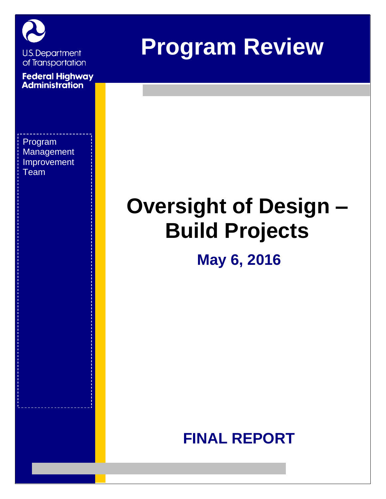

**U.S. Department** of Transportation

**Federal Highway**<br>**Administration** 

Program **Management** Improvement Team

# **Program Review**

# **Oversight of Design – Build Projects**

## **May 6, 2016**

## **FINAL REPORT**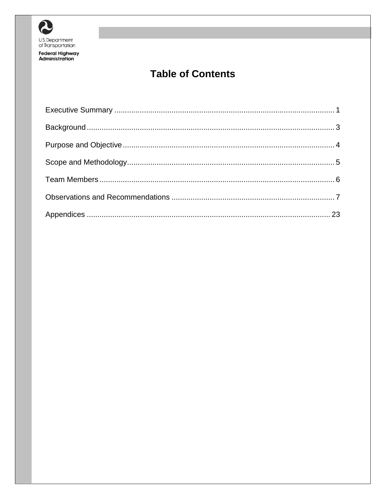

Federal Highway<br>Administration

## **Table of Contents**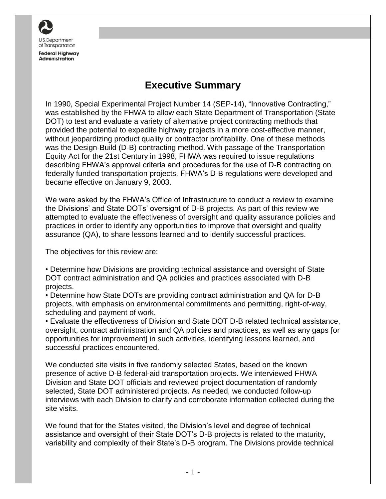

### **Executive Summary**

<span id="page-2-0"></span>In 1990, Special Experimental Project Number 14 (SEP-14), "Innovative Contracting," was established by the FHWA to allow each State Department of Transportation (State DOT) to test and evaluate a variety of alternative project contracting methods that provided the potential to expedite highway projects in a more cost-effective manner, without jeopardizing product quality or contractor profitability. One of these methods was the Design-Build (D-B) contracting method. With passage of the Transportation Equity Act for the 21st Century in 1998, FHWA was required to issue regulations describing FHWA's approval criteria and procedures for the use of D-B contracting on federally funded transportation projects. FHWA's D-B regulations were developed and became effective on January 9, 2003.

We were asked by the FHWA's Office of Infrastructure to conduct a review to examine the Divisions' and State DOTs' oversight of D-B projects. As part of this review we attempted to evaluate the effectiveness of oversight and quality assurance policies and practices in order to identify any opportunities to improve that oversight and quality assurance (QA), to share lessons learned and to identify successful practices.

The objectives for this review are:

• Determine how Divisions are providing technical assistance and oversight of State DOT contract administration and QA policies and practices associated with D-B projects.

• Determine how State DOTs are providing contract administration and QA for D-B projects, with emphasis on environmental commitments and permitting, right-of-way, scheduling and payment of work.

• Evaluate the effectiveness of Division and State DOT D-B related technical assistance, oversight, contract administration and QA policies and practices, as well as any gaps [or opportunities for improvement] in such activities, identifying lessons learned, and successful practices encountered.

We conducted site visits in five randomly selected States, based on the known presence of active D-B federal-aid transportation projects. We interviewed FHWA Division and State DOT officials and reviewed project documentation of randomly selected, State DOT administered projects. As needed, we conducted follow-up interviews with each Division to clarify and corroborate information collected during the site visits.

We found that for the States visited, the Division's level and degree of technical assistance and oversight of their State DOT's D-B projects is related to the maturity, variability and complexity of their State's D-B program. The Divisions provide technical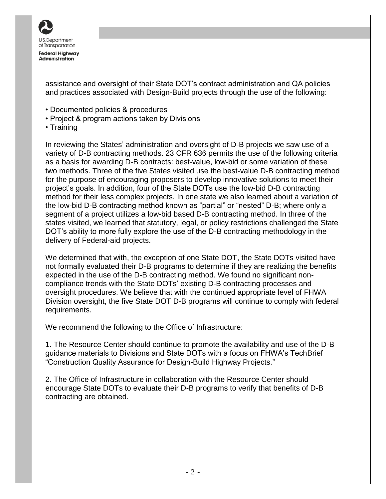

assistance and oversight of their State DOT's contract administration and QA policies and practices associated with Design-Build projects through the use of the following:

- Documented policies & procedures
- Project & program actions taken by Divisions
- Training

In reviewing the States' administration and oversight of D-B projects we saw use of a variety of D-B contracting methods. 23 CFR 636 permits the use of the following criteria as a basis for awarding D-B contracts: best-value, low-bid or some variation of these two methods. Three of the five States visited use the best-value D-B contracting method for the purpose of encouraging proposers to develop innovative solutions to meet their project's goals. In addition, four of the State DOTs use the low-bid D-B contracting method for their less complex projects. In one state we also learned about a variation of the low-bid D-B contracting method known as "partial" or "nested" D-B; where only a segment of a project utilizes a low-bid based D-B contracting method. In three of the states visited, we learned that statutory, legal, or policy restrictions challenged the State DOT's ability to more fully explore the use of the D-B contracting methodology in the delivery of Federal-aid projects.

We determined that with, the exception of one State DOT, the State DOTs visited have not formally evaluated their D-B programs to determine if they are realizing the benefits expected in the use of the D-B contracting method. We found no significant noncompliance trends with the State DOTs' existing D-B contracting processes and oversight procedures. We believe that with the continued appropriate level of FHWA Division oversight, the five State DOT D-B programs will continue to comply with federal requirements.

We recommend the following to the Office of Infrastructure:

1. The Resource Center should continue to promote the availability and use of the D-B guidance materials to Divisions and State DOTs with a focus on FHWA's TechBrief "Construction Quality Assurance for Design-Build Highway Projects."

2. The Office of Infrastructure in collaboration with the Resource Center should encourage State DOTs to evaluate their D-B programs to verify that benefits of D-B contracting are obtained.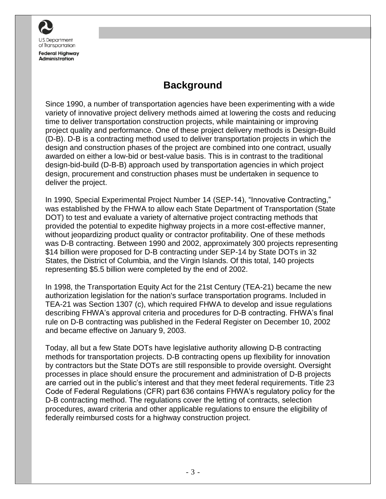

## **Background**

<span id="page-4-0"></span>Since 1990, a number of transportation agencies have been experimenting with a wide variety of innovative project delivery methods aimed at lowering the costs and reducing time to deliver transportation construction projects, while maintaining or improving project quality and performance. One of these project delivery methods is Design-Build (D-B). D-B is a contracting method used to deliver transportation projects in which the design and construction phases of the project are combined into one contract, usually awarded on either a low-bid or best-value basis. This is in contrast to the traditional design-bid-build (D-B-B) approach used by transportation agencies in which project design, procurement and construction phases must be undertaken in sequence to deliver the project.

In 1990, Special Experimental Project Number 14 (SEP-14), "Innovative Contracting," was established by the FHWA to allow each State Department of Transportation (State DOT) to test and evaluate a variety of alternative project contracting methods that provided the potential to expedite highway projects in a more cost-effective manner, without jeopardizing product quality or contractor profitability. One of these methods was D-B contracting. Between 1990 and 2002, approximately 300 projects representing \$14 billion were proposed for D-B contracting under SEP-14 by State DOTs in 32 States, the District of Columbia, and the Virgin Islands. Of this total, 140 projects representing \$5.5 billion were completed by the end of 2002.

In 1998, the Transportation Equity Act for the 21st Century (TEA-21) became the new authorization legislation for the nation's surface transportation programs. Included in TEA-21 was Section 1307 (c), which required FHWA to develop and issue regulations describing FHWA's approval criteria and procedures for D-B contracting. FHWA's final rule on D-B contracting was published in the Federal Register on December 10, 2002 and became effective on January 9, 2003.

Today, all but a few State DOTs have legislative authority allowing D-B contracting methods for transportation projects. D-B contracting opens up flexibility for innovation by contractors but the State DOTs are still responsible to provide oversight. Oversight processes in place should ensure the procurement and administration of D-B projects are carried out in the public's interest and that they meet federal requirements. Title 23 Code of Federal Regulations (CFR) part 636 contains FHWA's regulatory policy for the D-B contracting method. The regulations cover the letting of contracts, selection procedures, award criteria and other applicable regulations to ensure the eligibility of federally reimbursed costs for a highway construction project.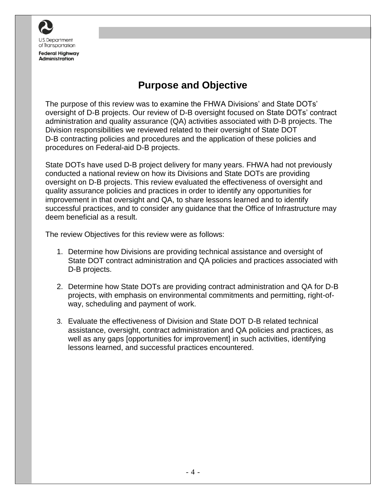

## **Purpose and Objective**

<span id="page-5-0"></span>The purpose of this review was to examine the FHWA Divisions' and State DOTs' oversight of D-B projects. Our review of D-B oversight focused on State DOTs' contract administration and quality assurance (QA) activities associated with D-B projects. The Division responsibilities we reviewed related to their oversight of State DOT D-B contracting policies and procedures and the application of these policies and procedures on Federal-aid D-B projects.

State DOTs have used D-B project delivery for many years. FHWA had not previously conducted a national review on how its Divisions and State DOTs are providing oversight on D-B projects. This review evaluated the effectiveness of oversight and quality assurance policies and practices in order to identify any opportunities for improvement in that oversight and QA, to share lessons learned and to identify successful practices, and to consider any guidance that the Office of Infrastructure may deem beneficial as a result.

The review Objectives for this review were as follows:

- 1. Determine how Divisions are providing technical assistance and oversight of State DOT contract administration and QA policies and practices associated with D-B projects.
- 2. Determine how State DOTs are providing contract administration and QA for D-B projects, with emphasis on environmental commitments and permitting, right-ofway, scheduling and payment of work.
- 3. Evaluate the effectiveness of Division and State DOT D-B related technical assistance, oversight, contract administration and QA policies and practices, as well as any gaps [opportunities for improvement] in such activities, identifying lessons learned, and successful practices encountered.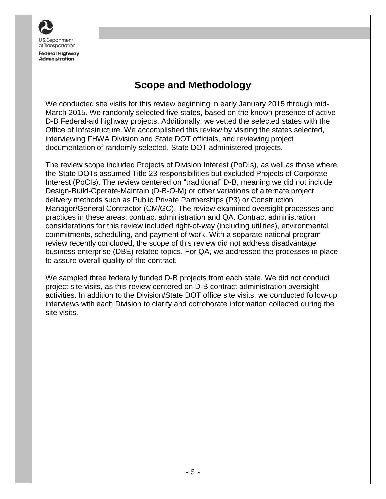

## **Scope and Methodology**

<span id="page-6-0"></span>We conducted site visits for this review beginning in early January 2015 through mid-March 2015. We randomly selected five states, based on the known presence of active D-B Federal-aid highway projects. Additionally, we vetted the selected states with the Office of Infrastructure. We accomplished this review by visiting the states selected, interviewing FHWA Division and State DOT officials, and reviewing project documentation of randomly selected, State DOT administered projects.

The review scope included Projects of Division Interest (PoDIs), as well as those where the State DOTs assumed Title 23 responsibilities but excluded Projects of Corporate Interest (PoCIs). The review centered on "traditional" D-B, meaning we did not include Design-Build-Operate-Maintain (D-B-O-M) or other variations of alternate project delivery methods such as Public Private Partnerships (P3) or Construction Manager/General Contractor (CM/GC). The review examined oversight processes and practices in these areas: contract administration and QA. Contract administration considerations for this review included right-of-way (including utilities), environmental commitments, scheduling, and payment of work. With a separate national program review recently concluded, the scope of this review did not address disadvantage business enterprise (DBE) related topics. For QA, we addressed the processes in place to assure overall quality of the contract.

We sampled three federally funded D-B projects from each state. We did not conduct project site visits, as this review centered on D-B contract administration oversight activities. In addition to the Division/State DOT office site visits, we conducted follow-up interviews with each Division to clarify and corroborate information collected during the site visits.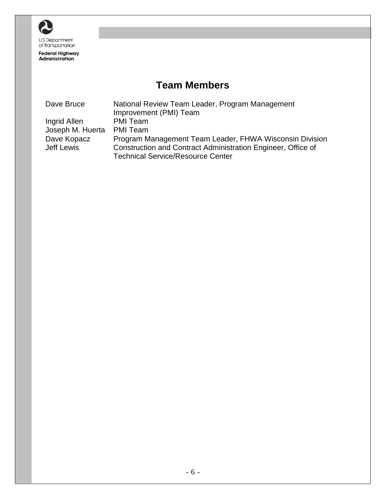

**Federal Highway**<br>Administration

## **Team Members**

<span id="page-7-0"></span>

| Dave Bruce       | National Review Team Leader, Program Management              |
|------------------|--------------------------------------------------------------|
|                  | Improvement (PMI) Team                                       |
| Ingrid Allen     | PMI Team                                                     |
| Joseph M. Huerta | <b>PMI</b> Team                                              |
| Dave Kopacz      | Program Management Team Leader, FHWA Wisconsin Division      |
| Jeff Lewis       | Construction and Contract Administration Engineer, Office of |
|                  | <b>Technical Service/Resource Center</b>                     |
|                  |                                                              |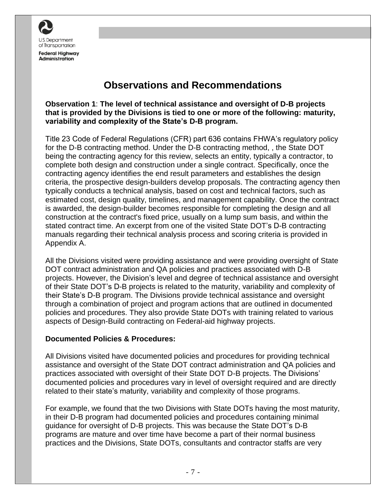

### **Observations and Recommendations**

<span id="page-8-0"></span>**Observation 1**: **The level of technical assistance and oversight of D-B projects that is provided by the Divisions is tied to one or more of the following: maturity, variability and complexity of the State's D-B program.**

Title 23 Code of Federal Regulations (CFR) part 636 contains FHWA's regulatory policy for the D-B contracting method. Under the D-B contracting method, , the State DOT being the contracting agency for this review, selects an entity, typically a contractor, to complete both design and construction under a single contract. Specifically, once the contracting agency identifies the end result parameters and establishes the design criteria, the prospective design-builders develop proposals. The contracting agency then typically conducts a technical analysis, based on cost and technical factors, such as estimated cost, design quality, timelines, and management capability. Once the contract is awarded, the design-builder becomes responsible for completing the design and all construction at the contract's fixed price, usually on a lump sum basis, and within the stated contract time. An excerpt from one of the visited State DOT's D-B contracting manuals regarding their technical analysis process and scoring criteria is provided in Appendix A.

All the Divisions visited were providing assistance and were providing oversight of State DOT contract administration and QA policies and practices associated with D-B projects. However, the Division's level and degree of technical assistance and oversight of their State DOT's D-B projects is related to the maturity, variability and complexity of their State's D-B program. The Divisions provide technical assistance and oversight through a combination of project and program actions that are outlined in documented policies and procedures. They also provide State DOTs with training related to various aspects of Design-Build contracting on Federal-aid highway projects.

#### **Documented Policies & Procedures:**

All Divisions visited have documented policies and procedures for providing technical assistance and oversight of the State DOT contract administration and QA policies and practices associated with oversight of their State DOT D-B projects. The Divisions' documented policies and procedures vary in level of oversight required and are directly related to their state's maturity, variability and complexity of those programs.

For example, we found that the two Divisions with State DOTs having the most maturity, in their D-B program had documented policies and procedures containing minimal guidance for oversight of D-B projects. This was because the State DOT's D-B programs are mature and over time have become a part of their normal business practices and the Divisions, State DOTs, consultants and contractor staffs are very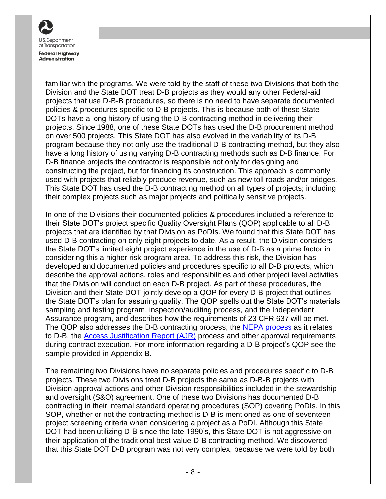

familiar with the programs. We were told by the staff of these two Divisions that both the Division and the State DOT treat D-B projects as they would any other Federal-aid projects that use D-B-B procedures, so there is no need to have separate documented policies & procedures specific to D-B projects. This is because both of these State DOTs have a long history of using the D-B contracting method in delivering their projects. Since 1988, one of these State DOTs has used the D-B procurement method on over 500 projects. This State DOT has also evolved in the variability of its D-B program because they not only use the traditional D-B contracting method, but they also have a long history of using varying D-B contracting methods such as D-B finance. For D-B finance projects the contractor is responsible not only for designing and constructing the project, but for financing its construction. This approach is commonly used with projects that reliably produce revenue, such as new toll roads and/or bridges. This State DOT has used the D-B contracting method on all types of projects; including their complex projects such as major projects and politically sensitive projects.

In one of the Divisions their documented policies & procedures included a reference to their State DOT's project specific Quality Oversight Plans (QOP) applicable to all D-B projects that are identified by that Division as PoDIs. We found that this State DOT has used D-B contracting on only eight projects to date. As a result, the Division considers the State DOT's limited eight project experience in the use of D-B as a prime factor in considering this a higher risk program area. To address this risk, the Division has developed and documented policies and procedures specific to all D-B projects, which describe the approval actions, roles and responsibilities and other project level activities that the Division will conduct on each D-B project. As part of these procedures, the Division and their State DOT jointly develop a QOP for every D-B project that outlines the State DOT's plan for assuring quality. The QOP spells out the State DOT's materials sampling and testing program, inspection/auditing process, and the Independent Assurance program, and describes how the requirements of 23 CFR 637 will be met. The QOP also addresses the D-B contracting process, the [NEPA process](http://epg.modot.org/index.php?title=127.14_National_Environmental_Policy_Act_%28NEPA%29_Classification_and_Documents) as it relates to D-B, the [Access Justification Report \(AJR\)](http://epg.modot.org/index.php?title=234.1_Access_to_Interstate_Highways) process and other approval requirements during contract execution. For more information regarding a D-B project's QOP see the sample provided in Appendix B.

The remaining two Divisions have no separate policies and procedures specific to D-B projects. These two Divisions treat D-B projects the same as D-B-B projects with Division approval actions and other Division responsibilities included in the stewardship and oversight (S&O) agreement. One of these two Divisions has documented D-B contracting in their internal standard operating procedures (SOP) covering PoDIs. In this SOP, whether or not the contracting method is D-B is mentioned as one of seventeen project screening criteria when considering a project as a PoDI. Although this State DOT had been utilizing D-B since the late 1990's, this State DOT is not aggressive on their application of the traditional best-value D-B contracting method. We discovered that this State DOT D-B program was not very complex, because we were told by both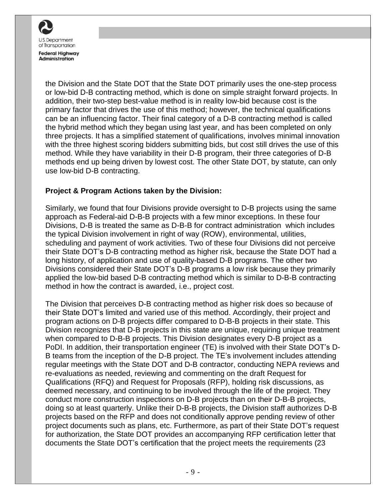

the Division and the State DOT that the State DOT primarily uses the one-step process or low-bid D-B contracting method, which is done on simple straight forward projects. In addition, their two-step best-value method is in reality low-bid because cost is the primary factor that drives the use of this method; however, the technical qualifications can be an influencing factor. Their final category of a D-B contracting method is called the hybrid method which they began using last year, and has been completed on only three projects. It has a simplified statement of qualifications, involves minimal innovation with the three highest scoring bidders submitting bids, but cost still drives the use of this method. While they have variability in their D-B program, their three categories of D-B methods end up being driven by lowest cost. The other State DOT, by statute, can only use low-bid D-B contracting.

#### **Project & Program Actions taken by the Division:**

Similarly, we found that four Divisions provide oversight to D-B projects using the same approach as Federal-aid D-B-B projects with a few minor exceptions. In these four Divisions, D-B is treated the same as D-B-B for contract administration which includes the typical Division involvement in right of way (ROW), environmental, utilities, scheduling and payment of work activities. Two of these four Divisions did not perceive their State DOT's D-B contracting method as higher risk, because the State DOT had a long history, of application and use of quality-based D-B programs. The other two Divisions considered their State DOT's D-B programs a low risk because they primarily applied the low-bid based D-B contracting method which is similar to D-B-B contracting method in how the contract is awarded, i.e., project cost.

The Division that perceives D-B contracting method as higher risk does so because of their State DOT's limited and varied use of this method. Accordingly, their project and program actions on D-B projects differ compared to D-B-B projects in their state. This Division recognizes that D-B projects in this state are unique, requiring unique treatment when compared to D-B-B projects. This Division designates every D-B project as a PoDI. In addition, their transportation engineer (TE) is involved with their State DOT's D-B teams from the inception of the D-B project. The TE's involvement includes attending regular meetings with the State DOT and D-B contractor, conducting NEPA reviews and re-evaluations as needed, reviewing and commenting on the draft Request for Qualifications (RFQ) and Request for Proposals (RFP), holding risk discussions, as deemed necessary, and continuing to be involved through the life of the project. They conduct more construction inspections on D-B projects than on their D-B-B projects, doing so at least quarterly. Unlike their D-B-B projects, the Division staff authorizes D-B projects based on the RFP and does not conditionally approve pending review of other project documents such as plans, etc. Furthermore, as part of their State DOT's request for authorization, the State DOT provides an accompanying RFP certification letter that documents the State DOT's certification that the project meets the requirements (23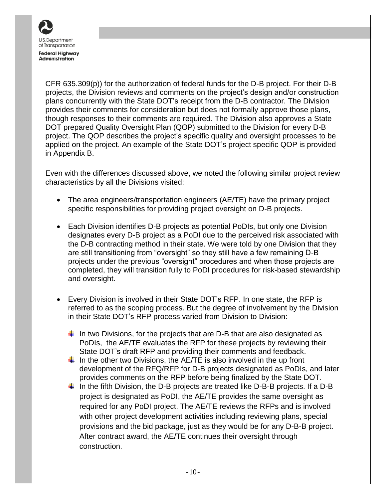

CFR 635.309(p)) for the authorization of federal funds for the D-B project. For their D-B projects, the Division reviews and comments on the project's design and/or construction plans concurrently with the State DOT's receipt from the D-B contractor. The Division provides their comments for consideration but does not formally approve those plans, though responses to their comments are required. The Division also approves a State DOT prepared Quality Oversight Plan (QOP) submitted to the Division for every D-B project. The QOP describes the project's specific quality and oversight processes to be applied on the project. An example of the State DOT's project specific QOP is provided in Appendix B.

Even with the differences discussed above, we noted the following similar project review characteristics by all the Divisions visited:

- The area engineers/transportation engineers (AE/TE) have the primary project specific responsibilities for providing project oversight on D-B projects.
- Each Division identifies D-B projects as potential PoDIs, but only one Division designates every D-B project as a PoDI due to the perceived risk associated with the D-B contracting method in their state. We were told by one Division that they are still transitioning from "oversight" so they still have a few remaining D-B projects under the previous "oversight" procedures and when those projects are completed, they will transition fully to PoDI procedures for risk-based stewardship and oversight.
- Every Division is involved in their State DOT's RFP. In one state, the RFP is referred to as the scoping process. But the degree of involvement by the Division in their State DOT's RFP process varied from Division to Division:
	- In two Divisions, for the projects that are D-B that are also designated as PoDIs, the AE/TE evaluates the RFP for these projects by reviewing their State DOT's draft RFP and providing their comments and feedback.
	- In the other two Divisions, the AE/TE is also involved in the up front development of the RFQ/RFP for D-B projects designated as PoDIs, and later provides comments on the RFP before being finalized by the State DOT.
	- $\perp$  In the fifth Division, the D-B projects are treated like D-B-B projects. If a D-B project is designated as PoDI, the AE/TE provides the same oversight as required for any PoDI project. The AE/TE reviews the RFPs and is involved with other project development activities including reviewing plans, special provisions and the bid package, just as they would be for any D-B-B project. After contract award, the AE/TE continues their oversight through construction.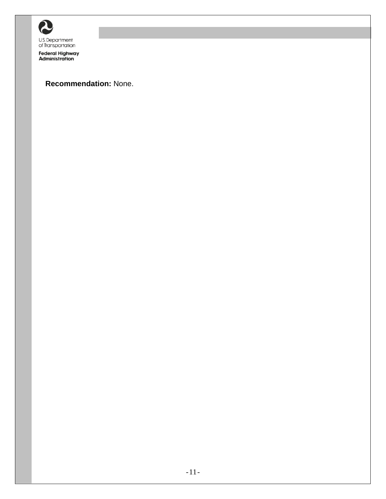

Federal Highway<br>Administration

#### **Recommendation:** None.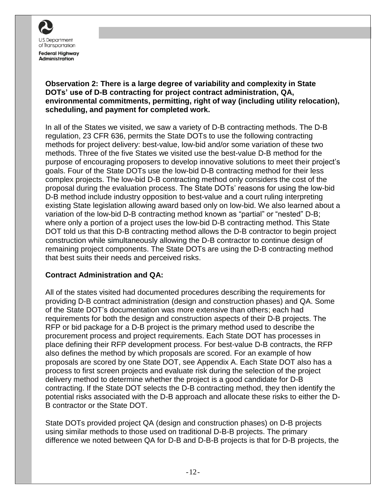

**Observation 2: There is a large degree of variability and complexity in State DOTs' use of D-B contracting for project contract administration, QA, environmental commitments, permitting, right of way (including utility relocation), scheduling, and payment for completed work.**

In all of the States we visited, we saw a variety of D-B contracting methods. The D-B regulation, 23 CFR 636, permits the State DOTs to use the following contracting methods for project delivery: best-value, low-bid and/or some variation of these two methods. Three of the five States we visited use the best-value D-B method for the purpose of encouraging proposers to develop innovative solutions to meet their project's goals. Four of the State DOTs use the low-bid D-B contracting method for their less complex projects. The low-bid D-B contracting method only considers the cost of the proposal during the evaluation process. The State DOTs' reasons for using the low-bid D-B method include industry opposition to best-value and a court ruling interpreting existing State legislation allowing award based only on low-bid. We also learned about a variation of the low-bid D-B contracting method known as "partial" or "nested" D-B; where only a portion of a project uses the low-bid D-B contracting method. This State DOT told us that this D-B contracting method allows the D-B contractor to begin project construction while simultaneously allowing the D-B contractor to continue design of remaining project components. The State DOTs are using the D-B contracting method that best suits their needs and perceived risks.

#### **Contract Administration and QA:**

All of the states visited had documented procedures describing the requirements for providing D-B contract administration (design and construction phases) and QA. Some of the State DOT's documentation was more extensive than others; each had requirements for both the design and construction aspects of their D-B projects. The RFP or bid package for a D-B project is the primary method used to describe the procurement process and project requirements. Each State DOT has processes in place defining their RFP development process. For best-value D-B contracts, the RFP also defines the method by which proposals are scored. For an example of how proposals are scored by one State DOT, see Appendix A. Each State DOT also has a process to first screen projects and evaluate risk during the selection of the project delivery method to determine whether the project is a good candidate for D-B contracting. If the State DOT selects the D-B contracting method, they then identify the potential risks associated with the D-B approach and allocate these risks to either the D-B contractor or the State DOT.

State DOTs provided project QA (design and construction phases) on D-B projects using similar methods to those used on traditional D-B-B projects. The primary difference we noted between QA for D-B and D-B-B projects is that for D-B projects, the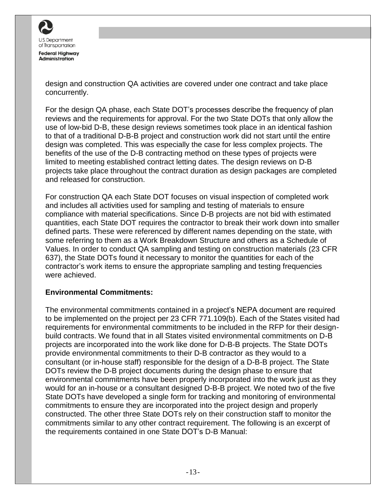

design and construction QA activities are covered under one contract and take place concurrently.

For the design QA phase, each State DOT's processes describe the frequency of plan reviews and the requirements for approval. For the two State DOTs that only allow the use of low-bid D-B, these design reviews sometimes took place in an identical fashion to that of a traditional D-B-B project and construction work did not start until the entire design was completed. This was especially the case for less complex projects. The benefits of the use of the D-B contracting method on these types of projects were limited to meeting established contract letting dates. The design reviews on D-B projects take place throughout the contract duration as design packages are completed and released for construction.

For construction QA each State DOT focuses on visual inspection of completed work and includes all activities used for sampling and testing of materials to ensure compliance with material specifications. Since D-B projects are not bid with estimated quantities, each State DOT requires the contractor to break their work down into smaller defined parts. These were referenced by different names depending on the state, with some referring to them as a Work Breakdown Structure and others as a Schedule of Values. In order to conduct QA sampling and testing on construction materials (23 CFR 637), the State DOTs found it necessary to monitor the quantities for each of the contractor's work items to ensure the appropriate sampling and testing frequencies were achieved.

#### **Environmental Commitments:**

The environmental commitments contained in a project's NEPA document are required to be implemented on the project per 23 CFR 771.109(b). Each of the States visited had requirements for environmental commitments to be included in the RFP for their designbuild contracts. We found that in all States visited environmental commitments on D-B projects are incorporated into the work like done for D-B-B projects. The State DOTs provide environmental commitments to their D-B contractor as they would to a consultant (or in-house staff) responsible for the design of a D-B-B project. The State DOTs review the D-B project documents during the design phase to ensure that environmental commitments have been properly incorporated into the work just as they would for an in-house or a consultant designed D-B-B project. We noted two of the five State DOTs have developed a single form for tracking and monitoring of environmental commitments to ensure they are incorporated into the project design and properly constructed. The other three State DOTs rely on their construction staff to monitor the commitments similar to any other contract requirement. The following is an excerpt of the requirements contained in one State DOT's D-B Manual: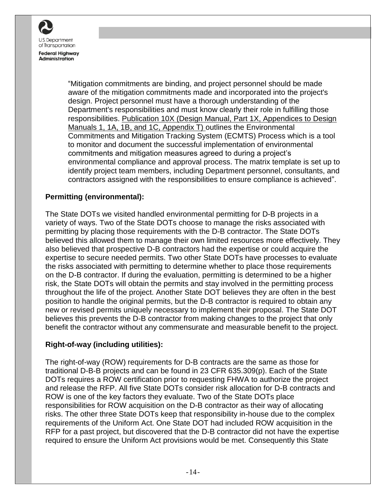

"Mitigation commitments are binding, and project personnel should be made aware of the mitigation commitments made and incorporated into the project's design. Project personnel must have a thorough understanding of the Department's responsibilities and must know clearly their role in fulfilling those responsibilities. Publication 10X (Design Manual, Part 1X, Appendices to Design Manuals 1, 1A, 1B, and 1C, Appendix T) outlines the Environmental Commitments and Mitigation Tracking System (ECMTS) Process which is a tool to monitor and document the successful implementation of environmental commitments and mitigation measures agreed to during a project's environmental compliance and approval process. The matrix template is set up to identify project team members, including Department personnel, consultants, and contractors assigned with the responsibilities to ensure compliance is achieved".

#### **Permitting (environmental):**

The State DOTs we visited handled environmental permitting for D-B projects in a variety of ways. Two of the State DOTs choose to manage the risks associated with permitting by placing those requirements with the D-B contractor. The State DOTs believed this allowed them to manage their own limited resources more effectively. They also believed that prospective D-B contractors had the expertise or could acquire the expertise to secure needed permits. Two other State DOTs have processes to evaluate the risks associated with permitting to determine whether to place those requirements on the D-B contractor. If during the evaluation, permitting is determined to be a higher risk, the State DOTs will obtain the permits and stay involved in the permitting process throughout the life of the project. Another State DOT believes they are often in the best position to handle the original permits, but the D-B contractor is required to obtain any new or revised permits uniquely necessary to implement their proposal. The State DOT believes this prevents the D-B contractor from making changes to the project that only benefit the contractor without any commensurate and measurable benefit to the project.

#### **Right-of-way (including utilities):**

The right-of-way (ROW) requirements for D-B contracts are the same as those for traditional D-B-B projects and can be found in 23 CFR 635.309(p). Each of the State DOTs requires a ROW certification prior to requesting FHWA to authorize the project and release the RFP. All five State DOTs consider risk allocation for D-B contracts and ROW is one of the key factors they evaluate. Two of the State DOTs place responsibilities for ROW acquisition on the D-B contractor as their way of allocating risks. The other three State DOTs keep that responsibility in-house due to the complex requirements of the Uniform Act. One State DOT had included ROW acquisition in the RFP for a past project, but discovered that the D-B contractor did not have the expertise required to ensure the Uniform Act provisions would be met. Consequently this State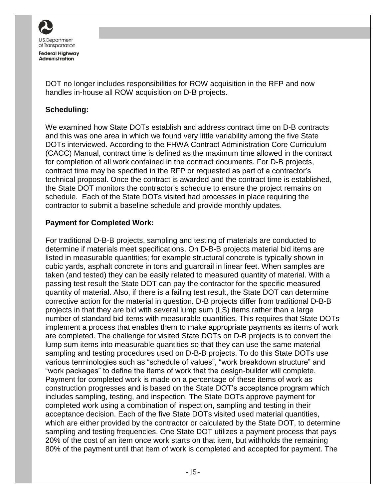

DOT no longer includes responsibilities for ROW acquisition in the RFP and now handles in-house all ROW acquisition on D-B projects.

#### **Scheduling:**

We examined how State DOTs establish and address contract time on D-B contracts and this was one area in which we found very little variability among the five State DOTs interviewed. According to the FHWA Contract Administration Core Curriculum (CACC) Manual, contract time is defined as the maximum time allowed in the contract for completion of all work contained in the contract documents. For D-B projects, contract time may be specified in the RFP or requested as part of a contractor's technical proposal. Once the contract is awarded and the contract time is established, the State DOT monitors the contractor's schedule to ensure the project remains on schedule. Each of the State DOTs visited had processes in place requiring the contractor to submit a baseline schedule and provide monthly updates.

#### **Payment for Completed Work:**

For traditional D-B-B projects, sampling and testing of materials are conducted to determine if materials meet specifications. On D-B-B projects material bid items are listed in measurable quantities; for example structural concrete is typically shown in cubic yards, asphalt concrete in tons and guardrail in linear feet. When samples are taken (and tested) they can be easily related to measured quantity of material. With a passing test result the State DOT can pay the contractor for the specific measured quantity of material. Also, if there is a failing test result, the State DOT can determine corrective action for the material in question. D-B projects differ from traditional D-B-B projects in that they are bid with several lump sum (LS) items rather than a large number of standard bid items with measurable quantities. This requires that State DOTs implement a process that enables them to make appropriate payments as items of work are completed. The challenge for visited State DOTs on D-B projects is to convert the lump sum items into measurable quantities so that they can use the same material sampling and testing procedures used on D-B-B projects. To do this State DOTs use various terminologies such as "schedule of values", "work breakdown structure" and "work packages" to define the items of work that the design-builder will complete. Payment for completed work is made on a percentage of these items of work as construction progresses and is based on the State DOT's acceptance program which includes sampling, testing, and inspection. The State DOTs approve payment for completed work using a combination of inspection, sampling and testing in their acceptance decision. Each of the five State DOTs visited used material quantities, which are either provided by the contractor or calculated by the State DOT, to determine sampling and testing frequencies. One State DOT utilizes a payment process that pays 20% of the cost of an item once work starts on that item, but withholds the remaining 80% of the payment until that item of work is completed and accepted for payment. The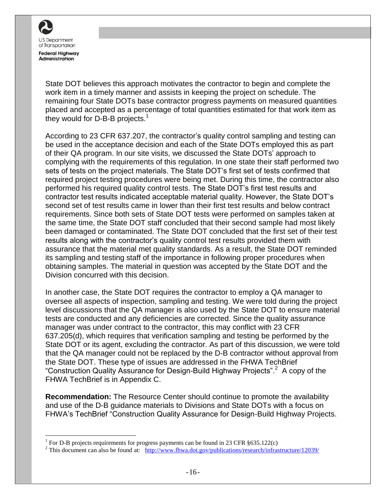

 $\overline{a}$ 

State DOT believes this approach motivates the contractor to begin and complete the work item in a timely manner and assists in keeping the project on schedule. The remaining four State DOTs base contractor progress payments on measured quantities placed and accepted as a percentage of total quantities estimated for that work item as they would for D-B-B projects.<sup>1</sup>

According to 23 CFR 637.207, the contractor's quality control sampling and testing can be used in the acceptance decision and each of the State DOTs employed this as part of their QA program. In our site visits, we discussed the State DOTs' approach to complying with the requirements of this regulation. In one state their staff performed two sets of tests on the project materials. The State DOT's first set of tests confirmed that required project testing procedures were being met. During this time, the contractor also performed his required quality control tests. The State DOT's first test results and contractor test results indicated acceptable material quality. However, the State DOT's second set of test results came in lower than their first test results and below contract requirements. Since both sets of State DOT tests were performed on samples taken at the same time, the State DOT staff concluded that their second sample had most likely been damaged or contaminated. The State DOT concluded that the first set of their test results along with the contractor's quality control test results provided them with assurance that the material met quality standards. As a result, the State DOT reminded its sampling and testing staff of the importance in following proper procedures when obtaining samples. The material in question was accepted by the State DOT and the Division concurred with this decision.

In another case, the State DOT requires the contractor to employ a QA manager to oversee all aspects of inspection, sampling and testing. We were told during the project level discussions that the QA manager is also used by the State DOT to ensure material tests are conducted and any deficiencies are corrected. Since the quality assurance manager was under contract to the contractor, this may conflict with 23 CFR 637.205(d), which requires that verification sampling and testing be performed by the State DOT or its agent, excluding the contractor. As part of this discussion, we were told that the QA manager could not be replaced by the D-B contractor without approval from the State DOT. These type of issues are addressed in the FHWA TechBrief "Construction Quality Assurance for Design-Build Highway Projects".<sup>2</sup> A copy of the FHWA TechBrief is in Appendix C.

**Recommendation:** The Resource Center should continue to promote the availability and use of the D-B guidance materials to Divisions and State DOTs with a focus on FHWA's TechBrief "Construction Quality Assurance for Design-Build Highway Projects.

<sup>&</sup>lt;sup>1</sup> For D-B projects requirements for progress payments can be found in 23 CFR  $\S 635.122(c)$ 

<sup>&</sup>lt;sup>2</sup> This document can also be found at:  $\frac{http://www.fhwa.dot.gov/publications/research/infrastructure/12039/}{http://www.fhwa.dot.gov/publications/research/infrastructure/12039/}$  $\frac{http://www.fhwa.dot.gov/publications/research/infrastructure/12039/}{http://www.fhwa.dot.gov/publications/research/infrastructure/12039/}$  $\frac{http://www.fhwa.dot.gov/publications/research/infrastructure/12039/}{http://www.fhwa.dot.gov/publications/research/infrastructure/12039/}$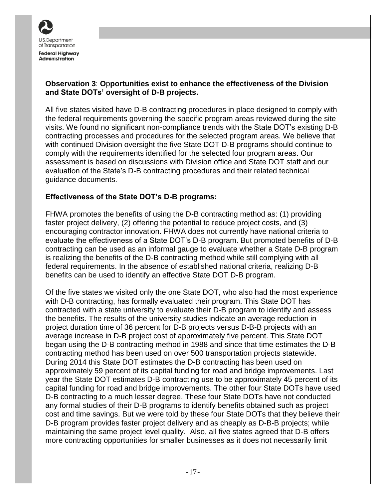

#### **Observation 3**: **O**p**portunities exist to enhance the effectiveness of the Division and State DOTs' oversight of D-B projects.**

All five states visited have D-B contracting procedures in place designed to comply with the federal requirements governing the specific program areas reviewed during the site visits. We found no significant non-compliance trends with the State DOT's existing D-B contracting processes and procedures for the selected program areas. We believe that with continued Division oversight the five State DOT D-B programs should continue to comply with the requirements identified for the selected four program areas. Our assessment is based on discussions with Division office and State DOT staff and our evaluation of the State's D-B contracting procedures and their related technical guidance documents.

#### **Effectiveness of the State DOT's D-B programs:**

FHWA promotes the benefits of using the D-B contracting method as: (1) providing faster project delivery, (2) offering the potential to reduce project costs, and (3) encouraging contractor innovation. FHWA does not currently have national criteria to evaluate the effectiveness of a State DOT's D-B program. But promoted benefits of D-B contracting can be used as an informal gauge to evaluate whether a State D-B program is realizing the benefits of the D-B contracting method while still complying with all federal requirements. In the absence of established national criteria, realizing D-B benefits can be used to identify an effective State DOT D-B program.

Of the five states we visited only the one State DOT, who also had the most experience with D-B contracting, has formally evaluated their program. This State DOT has contracted with a state university to evaluate their D-B program to identify and assess the benefits. The results of the university studies indicate an average reduction in project duration time of 36 percent for D-B projects versus D-B-B projects with an average increase in D-B project cost of approximately five percent. This State DOT began using the D-B contracting method in 1988 and since that time estimates the D-B contracting method has been used on over 500 transportation projects statewide. During 2014 this State DOT estimates the D-B contracting has been used on approximately 59 percent of its capital funding for road and bridge improvements. Last year the State DOT estimates D-B contracting use to be approximately 45 percent of its capital funding for road and bridge improvements. The other four State DOTs have used D-B contracting to a much lesser degree. These four State DOTs have not conducted any formal studies of their D-B programs to identify benefits obtained such as project cost and time savings. But we were told by these four State DOTs that they believe their D-B program provides faster project delivery and as cheaply as D-B-B projects; while maintaining the same project level quality. Also, all five states agreed that D-B offers more contracting opportunities for smaller businesses as it does not necessarily limit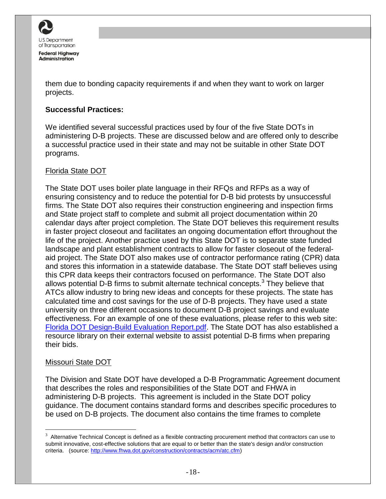

them due to bonding capacity requirements if and when they want to work on larger projects.

#### **Successful Practices:**

We identified several successful practices used by four of the five State DOTs in administering D-B projects. These are discussed below and are offered only to describe a successful practice used in their state and may not be suitable in other State DOT programs.

#### Florida State DOT

The State DOT uses boiler plate language in their RFQs and RFPs as a way of ensuring consistency and to reduce the potential for D-B bid protests by unsuccessful firms. The State DOT also requires their construction engineering and inspection firms and State project staff to complete and submit all project documentation within 20 calendar days after project completion. The State DOT believes this requirement results in faster project closeout and facilitates an ongoing documentation effort throughout the life of the project. Another practice used by this State DOT is to separate state funded landscape and plant establishment contracts to allow for faster closeout of the federalaid project. The State DOT also makes use of contractor performance rating (CPR) data and stores this information in a statewide database. The State DOT staff believes using this CPR data keeps their contractors focused on performance. The State DOT also allows potential D-B firms to submit alternate technical concepts.<sup>3</sup> They believe that ATCs allow industry to bring new ideas and concepts for these projects. The state has calculated time and cost savings for the use of D-B projects. They have used a state university on three different occasions to document D-B project savings and evaluate effectiveness. For an example of one of these evaluations, please refer to this web site: [Florida DOT Design-Build Evaluation Report.pdf.](http://www.dot.state.fl.us/construction/AltContract/General/PDF/DBProgram%20Eval.pdf) The State DOT has also established a resource library on their external website to assist potential D-B firms when preparing their bids.

#### Missouri State DOT

 $\overline{a}$ 

The Division and State DOT have developed a D-B Programmatic Agreement document that describes the roles and responsibilities of the State DOT and FHWA in administering D-B projects. This agreement is included in the State DOT policy guidance. The document contains standard forms and describes specific procedures to be used on D-B projects. The document also contains the time frames to complete

 $3$  Alternative Technical Concept is defined as a flexible contracting procurement method that contractors can use to submit innovative, cost-effective solutions that are equal to or better than the state's design and/or construction criteria. (source: [http://www.fhwa.dot.gov/construction/contracts/acm/atc.cfm\)](http://www.fhwa.dot.gov/construction/contracts/acm/atc.cfm)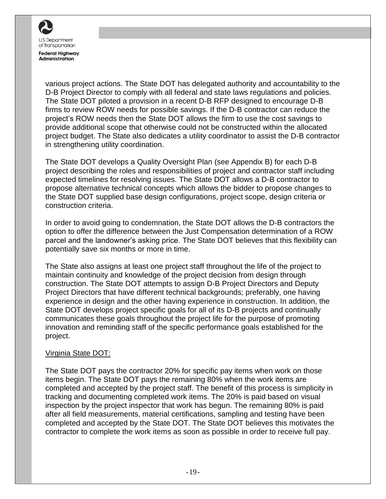

various project actions. The State DOT has delegated authority and accountability to the D-B Project Director to comply with all federal and state laws regulations and policies. The State DOT piloted a provision in a recent D-B RFP designed to encourage D-B firms to review ROW needs for possible savings. If the D-B contractor can reduce the project's ROW needs then the State DOT allows the firm to use the cost savings to provide additional scope that otherwise could not be constructed within the allocated project budget. The State also dedicates a utility coordinator to assist the D-B contractor in strengthening utility coordination.

The State DOT develops a Quality Oversight Plan (see Appendix B) for each D-B project describing the roles and responsibilities of project and contractor staff including expected timelines for resolving issues. The State DOT allows a D-B contractor to propose alternative technical concepts which allows the bidder to propose changes to the State DOT supplied base design configurations, project scope, design criteria or construction criteria.

In order to avoid going to condemnation, the State DOT allows the D-B contractors the option to offer the difference between the Just Compensation determination of a ROW parcel and the landowner's asking price. The State DOT believes that this flexibility can potentially save six months or more in time.

The State also assigns at least one project staff throughout the life of the project to maintain continuity and knowledge of the project decision from design through construction. The State DOT attempts to assign D-B Project Directors and Deputy Project Directors that have different technical backgrounds; preferably, one having experience in design and the other having experience in construction. In addition, the State DOT develops project specific goals for all of its D-B projects and continually communicates these goals throughout the project life for the purpose of promoting innovation and reminding staff of the specific performance goals established for the project.

#### Virginia State DOT:

The State DOT pays the contractor 20% for specific pay items when work on those items begin. The State DOT pays the remaining 80% when the work items are completed and accepted by the project staff. The benefit of this process is simplicity in tracking and documenting completed work items. The 20% is paid based on visual inspection by the project inspector that work has begun. The remaining 80% is paid after all field measurements, material certifications, sampling and testing have been completed and accepted by the State DOT. The State DOT believes this motivates the contractor to complete the work items as soon as possible in order to receive full pay.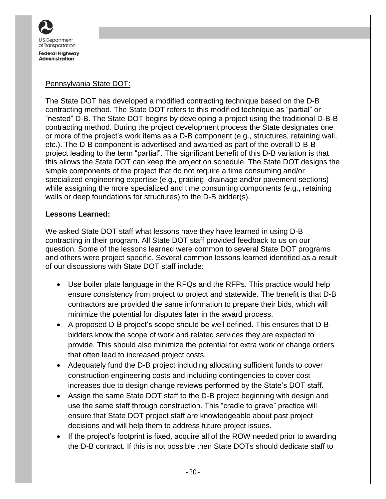

#### Pennsylvania State DOT:

The State DOT has developed a modified contracting technique based on the D-B contracting method. The State DOT refers to this modified technique as "partial" or "nested" D-B. The State DOT begins by developing a project using the traditional D-B-B contracting method. During the project development process the State designates one or more of the project's work items as a D-B component (e.g., structures, retaining wall, etc.). The D-B component is advertised and awarded as part of the overall D-B-B project leading to the term "partial". The significant benefit of this D-B variation is that this allows the State DOT can keep the project on schedule. The State DOT designs the simple components of the project that do not require a time consuming and/or specialized engineering expertise (e.g., grading, drainage and/or pavement sections) while assigning the more specialized and time consuming components (e.g., retaining walls or deep foundations for structures) to the D-B bidder(s).

#### **Lessons Learned:**

We asked State DOT staff what lessons have they have learned in using D-B contracting in their program. All State DOT staff provided feedback to us on our question. Some of the lessons learned were common to several State DOT programs and others were project specific. Several common lessons learned identified as a result of our discussions with State DOT staff include:

- Use boiler plate language in the RFQs and the RFPs. This practice would help ensure consistency from project to project and statewide. The benefit is that D-B contractors are provided the same information to prepare their bids, which will minimize the potential for disputes later in the award process.
- A proposed D-B project's scope should be well defined. This ensures that D-B bidders know the scope of work and related services they are expected to provide. This should also minimize the potential for extra work or change orders that often lead to increased project costs.
- Adequately fund the D-B project including allocating sufficient funds to cover construction engineering costs and including contingencies to cover cost increases due to design change reviews performed by the State's DOT staff.
- Assign the same State DOT staff to the D-B project beginning with design and use the same staff through construction. This "cradle to grave" practice will ensure that State DOT project staff are knowledgeable about past project decisions and will help them to address future project issues.
- If the project's footprint is fixed, acquire all of the ROW needed prior to awarding the D-B contract. If this is not possible then State DOTs should dedicate staff to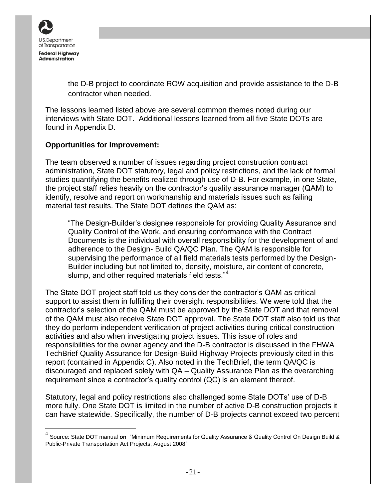

 $\overline{a}$ 

the D-B project to coordinate ROW acquisition and provide assistance to the D-B contractor when needed.

The lessons learned listed above are several common themes noted during our interviews with State DOT. Additional lessons learned from all five State DOTs are found in Appendix D.

#### **Opportunities for Improvement:**

The team observed a number of issues regarding project construction contract administration, State DOT statutory, legal and policy restrictions, and the lack of formal studies quantifying the benefits realized through use of D-B. For example, in one State, the project staff relies heavily on the contractor's quality assurance manager (QAM) to identify, resolve and report on workmanship and materials issues such as failing material test results. The State DOT defines the QAM as:

"The Design-Builder's designee responsible for providing Quality Assurance and Quality Control of the Work, and ensuring conformance with the Contract Documents is the individual with overall responsibility for the development of and adherence to the Design- Build QA/QC Plan. The QAM is responsible for supervising the performance of all field materials tests performed by the Design-Builder including but not limited to, density, moisture, air content of concrete, slump, and other required materials field tests."<sup>4</sup>

The State DOT project staff told us they consider the contractor's QAM as critical support to assist them in fulfilling their oversight responsibilities. We were told that the contractor's selection of the QAM must be approved by the State DOT and that removal of the QAM must also receive State DOT approval. The State DOT staff also told us that they do perform independent verification of project activities during critical construction activities and also when investigating project issues. This issue of roles and responsibilities for the owner agency and the D-B contractor is discussed in the FHWA TechBrief Quality Assurance for Design-Build Highway Projects previously cited in this report (contained in Appendix C). Also noted in the TechBrief, the term QA/QC is discouraged and replaced solely with QA – Quality Assurance Plan as the overarching requirement since a contractor's quality control (QC) is an element thereof.

Statutory, legal and policy restrictions also challenged some State DOTs' use of D-B more fully. One State DOT is limited in the number of active D-B construction projects it can have statewide. Specifically, the number of D-B projects cannot exceed two percent

<sup>4</sup> Source: State DOT manual **on** "Minimum Requirements for Quality Assurance & Quality Control On Design Build & Public-Private Transportation Act Projects, August 2008"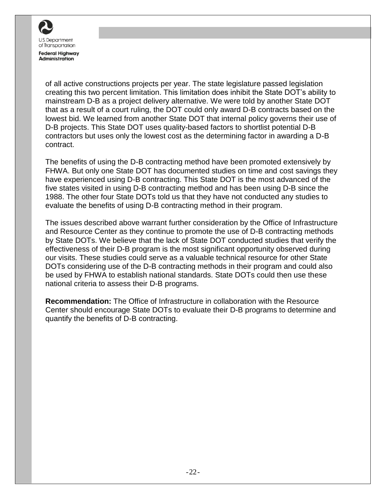

of all active constructions projects per year. The state legislature passed legislation creating this two percent limitation. This limitation does inhibit the State DOT's ability to mainstream D-B as a project delivery alternative. We were told by another State DOT that as a result of a court ruling, the DOT could only award D-B contracts based on the lowest bid. We learned from another State DOT that internal policy governs their use of D-B projects. This State DOT uses quality-based factors to shortlist potential D-B contractors but uses only the lowest cost as the determining factor in awarding a D-B contract.

The benefits of using the D-B contracting method have been promoted extensively by FHWA. But only one State DOT has documented studies on time and cost savings they have experienced using D-B contracting. This State DOT is the most advanced of the five states visited in using D-B contracting method and has been using D-B since the 1988. The other four State DOTs told us that they have not conducted any studies to evaluate the benefits of using D-B contracting method in their program.

The issues described above warrant further consideration by the Office of Infrastructure and Resource Center as they continue to promote the use of D-B contracting methods by State DOTs. We believe that the lack of State DOT conducted studies that verify the effectiveness of their D-B program is the most significant opportunity observed during our visits. These studies could serve as a valuable technical resource for other State DOTs considering use of the D-B contracting methods in their program and could also be used by FHWA to establish national standards. State DOTs could then use these national criteria to assess their D-B programs.

**Recommendation:** The Office of Infrastructure in collaboration with the Resource Center should encourage State DOTs to evaluate their D-B programs to determine and quantify the benefits of D-B contracting.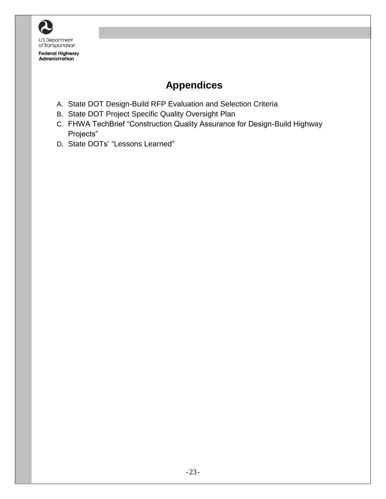

## <span id="page-24-0"></span>**Appendices**

- A. State DOT Design-Build RFP Evaluation and Selection Criteria
- B. State DOT Project Specific Quality Oversight Plan
- C. FHWA TechBrief "Construction Quality Assurance for Design-Build Highway Projects"
- D. State DOTs' "Lessons Learned"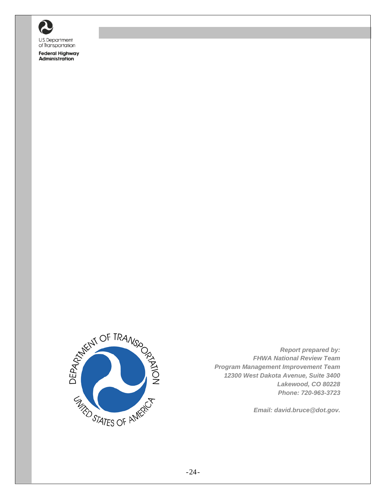

**Federal Highway** Administration



*Report prepared by: FHWA National Review Team Program Management Improvement Team 12300 West Dakota Avenue, Suite 3400 Lakewood, CO 80228 Phone: 720-963-3723* 

*Email: david.bruce@dot.gov.*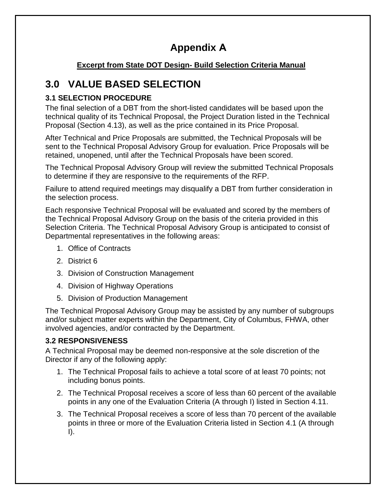## **Appendix A**

#### **Excerpt from State DOT Design- Build Selection Criteria Manual**

## **3.0 VALUE BASED SELECTION**

#### **3.1 SELECTION PROCEDURE**

The final selection of a DBT from the short-listed candidates will be based upon the technical quality of its Technical Proposal, the Project Duration listed in the Technical Proposal (Section 4.13), as well as the price contained in its Price Proposal.

After Technical and Price Proposals are submitted, the Technical Proposals will be sent to the Technical Proposal Advisory Group for evaluation. Price Proposals will be retained, unopened, until after the Technical Proposals have been scored.

The Technical Proposal Advisory Group will review the submitted Technical Proposals to determine if they are responsive to the requirements of the RFP.

Failure to attend required meetings may disqualify a DBT from further consideration in the selection process.

Each responsive Technical Proposal will be evaluated and scored by the members of the Technical Proposal Advisory Group on the basis of the criteria provided in this Selection Criteria. The Technical Proposal Advisory Group is anticipated to consist of Departmental representatives in the following areas:

- 1. Office of Contracts
- 2. District 6
- 3. Division of Construction Management
- 4. Division of Highway Operations
- 5. Division of Production Management

The Technical Proposal Advisory Group may be assisted by any number of subgroups and/or subject matter experts within the Department, City of Columbus, FHWA, other involved agencies, and/or contracted by the Department.

#### **3.2 RESPONSIVENESS**

A Technical Proposal may be deemed non-responsive at the sole discretion of the Director if any of the following apply:

- 1. The Technical Proposal fails to achieve a total score of at least 70 points; not including bonus points.
- 2. The Technical Proposal receives a score of less than 60 percent of the available points in any one of the Evaluation Criteria (A through I) listed in Section 4.11.
- 3. The Technical Proposal receives a score of less than 70 percent of the available points in three or more of the Evaluation Criteria listed in Section 4.1 (A through I).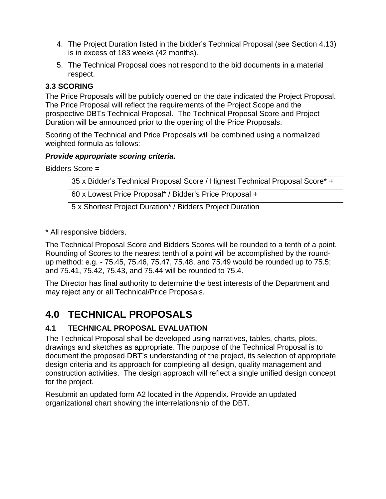- 4. The Project Duration listed in the bidder's Technical Proposal (see Section 4.13) is in excess of 183 weeks (42 months).
- 5. The Technical Proposal does not respond to the bid documents in a material respect.

#### **3.3 SCORING**

The Price Proposals will be publicly opened on the date indicated the Project Proposal. The Price Proposal will reflect the requirements of the Project Scope and the prospective DBTs Technical Proposal. The Technical Proposal Score and Project Duration will be announced prior to the opening of the Price Proposals.

Scoring of the Technical and Price Proposals will be combined using a normalized weighted formula as follows:

#### *Provide appropriate scoring criteria.*

Bidders Score =

35 x Bidder's Technical Proposal Score / Highest Technical Proposal Score\* + 60 x Lowest Price Proposal\* / Bidder's Price Proposal + 5 x Shortest Project Duration\* / Bidders Project Duration

\* All responsive bidders.

The Technical Proposal Score and Bidders Scores will be rounded to a tenth of a point. Rounding of Scores to the nearest tenth of a point will be accomplished by the roundup method: e.g. - 75.45, 75.46, 75.47, 75.48, and 75.49 would be rounded up to 75.5; and 75.41, 75.42, 75.43, and 75.44 will be rounded to 75.4.

The Director has final authority to determine the best interests of the Department and may reject any or all Technical/Price Proposals.

## **4.0 TECHNICAL PROPOSALS**

#### **4.1 TECHNICAL PROPOSAL EVALUATION**

The Technical Proposal shall be developed using narratives, tables, charts, plots, drawings and sketches as appropriate. The purpose of the Technical Proposal is to document the proposed DBT's understanding of the project, its selection of appropriate design criteria and its approach for completing all design, quality management and construction activities. The design approach will reflect a single unified design concept for the project.

Resubmit an updated form A2 located in the Appendix. Provide an updated organizational chart showing the interrelationship of the DBT.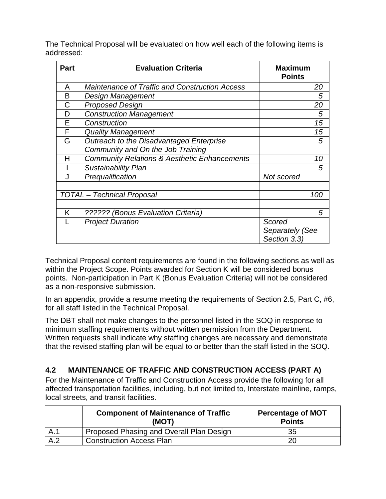The Technical Proposal will be evaluated on how well each of the following items is addressed:

| <b>Part</b> | <b>Evaluation Criteria</b>                              | <b>Maximum</b><br><b>Points</b> |
|-------------|---------------------------------------------------------|---------------------------------|
| A           | <b>Maintenance of Traffic and Construction Access</b>   | 20                              |
| B           | Design Management                                       | 5                               |
| C           | <b>Proposed Design</b>                                  | 20                              |
| D           | <b>Construction Management</b>                          | 5                               |
| E           | Construction                                            | 15                              |
| F           | <b>Quality Management</b>                               | 15                              |
| G           | Outreach to the Disadvantaged Enterprise                | 5                               |
|             | Community and On the Job Training                       |                                 |
| н           | <b>Community Relations &amp; Aesthetic Enhancements</b> | 10                              |
|             | Sustainability Plan                                     | 5                               |
|             | Prequalification                                        | Not scored                      |
|             |                                                         |                                 |
|             | <b>TOTAL</b> - Technical Proposal                       | 100                             |
|             |                                                         |                                 |
| K           | ?????? (Bonus Evaluation Criteria)                      | 5                               |
|             | <b>Project Duration</b>                                 | Scored                          |
|             |                                                         | Separately (See                 |
|             |                                                         | Section 3.3)                    |

Technical Proposal content requirements are found in the following sections as well as within the Project Scope. Points awarded for Section K will be considered bonus points. Non-participation in Part K (Bonus Evaluation Criteria) will not be considered as a non-responsive submission.

In an appendix, provide a resume meeting the requirements of Section 2.5, Part C, #6, for all staff listed in the Technical Proposal.

The DBT shall not make changes to the personnel listed in the SOQ in response to minimum staffing requirements without written permission from the Department. Written requests shall indicate why staffing changes are necessary and demonstrate that the revised staffing plan will be equal to or better than the staff listed in the SOQ.

#### **4.2 MAINTENANCE OF TRAFFIC AND CONSTRUCTION ACCESS (PART A)**

For the Maintenance of Traffic and Construction Access provide the following for all affected transportation facilities, including, but not limited to, Interstate mainline, ramps, local streets, and transit facilities.

|     | <b>Component of Maintenance of Traffic</b><br>(MOT) | <b>Percentage of MOT</b><br><b>Points</b> |
|-----|-----------------------------------------------------|-------------------------------------------|
| A.1 | Proposed Phasing and Overall Plan Design            | 35                                        |
| A.2 | <b>Construction Access Plan</b>                     |                                           |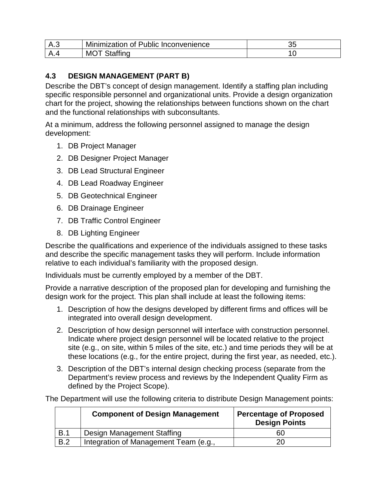| Δ | Minimization of Public Inconvenience | u |
|---|--------------------------------------|---|
| Δ | MC                                   |   |

#### **4.3 DESIGN MANAGEMENT (PART B)**

Describe the DBT's concept of design management. Identify a staffing plan including specific responsible personnel and organizational units. Provide a design organization chart for the project, showing the relationships between functions shown on the chart and the functional relationships with subconsultants.

At a minimum, address the following personnel assigned to manage the design development:

- 1. DB Project Manager
- 2. DB Designer Project Manager
- 3. DB Lead Structural Engineer
- 4. DB Lead Roadway Engineer
- 5. DB Geotechnical Engineer
- 6. DB Drainage Engineer
- 7. DB Traffic Control Engineer
- 8. DB Lighting Engineer

Describe the qualifications and experience of the individuals assigned to these tasks and describe the specific management tasks they will perform. Include information relative to each individual's familiarity with the proposed design.

Individuals must be currently employed by a member of the DBT.

Provide a narrative description of the proposed plan for developing and furnishing the design work for the project. This plan shall include at least the following items:

- 1. Description of how the designs developed by different firms and offices will be integrated into overall design development.
- 2. Description of how design personnel will interface with construction personnel. Indicate where project design personnel will be located relative to the project site (e.g., on site, within 5 miles of the site, etc.) and time periods they will be at these locations (e.g., for the entire project, during the first year, as needed, etc.).
- 3. Description of the DBT's internal design checking process (separate from the Department's review process and reviews by the Independent Quality Firm as defined by the Project Scope).

The Department will use the following criteria to distribute Design Management points:

|     | <b>Component of Design Management</b> | <b>Percentage of Proposed</b><br><b>Design Points</b> |
|-----|---------------------------------------|-------------------------------------------------------|
| B.1 | Design Management Staffing            | 60                                                    |
| B.2 | Integration of Management Team (e.g., |                                                       |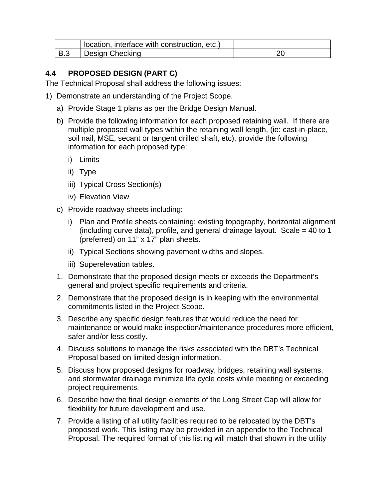|            | location, interface with construction, etc.) |  |
|------------|----------------------------------------------|--|
| <b>B.3</b> | Design Checking                              |  |

#### **4.4 PROPOSED DESIGN (PART C)**

The Technical Proposal shall address the following issues:

- 1) Demonstrate an understanding of the Project Scope.
	- a) Provide Stage 1 plans as per the Bridge Design Manual.
	- b) Provide the following information for each proposed retaining wall. If there are multiple proposed wall types within the retaining wall length, (ie: cast-in-place, soil nail, MSE, secant or tangent drilled shaft, etc), provide the following information for each proposed type:
		- i) Limits
		- ii) Type
		- iii) Typical Cross Section(s)
		- iv) Elevation View
	- c) Provide roadway sheets including:
		- i) Plan and Profile sheets containing: existing topography, horizontal alignment (including curve data), profile, and general drainage layout. Scale = 40 to 1 (preferred) on 11" x 17" plan sheets.
		- ii) Typical Sections showing pavement widths and slopes.
		- iii) Superelevation tables.
	- 1. Demonstrate that the proposed design meets or exceeds the Department's general and project specific requirements and criteria.
	- 2. Demonstrate that the proposed design is in keeping with the environmental commitments listed in the Project Scope.
	- 3. Describe any specific design features that would reduce the need for maintenance or would make inspection/maintenance procedures more efficient, safer and/or less costly.
	- 4. Discuss solutions to manage the risks associated with the DBT's Technical Proposal based on limited design information.
	- 5. Discuss how proposed designs for roadway, bridges, retaining wall systems, and stormwater drainage minimize life cycle costs while meeting or exceeding project requirements.
	- 6. Describe how the final design elements of the Long Street Cap will allow for flexibility for future development and use.
	- 7. Provide a listing of all utility facilities required to be relocated by the DBT's proposed work. This listing may be provided in an appendix to the Technical Proposal. The required format of this listing will match that shown in the utility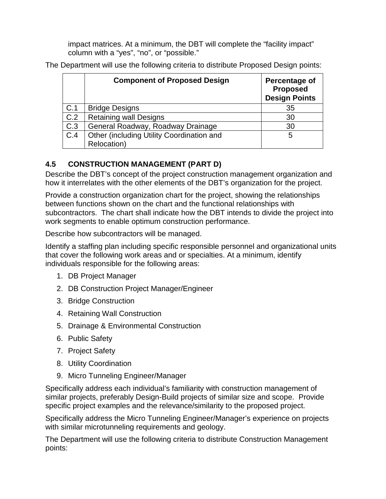impact matrices. At a minimum, the DBT will complete the "facility impact" column with a "yes", "no", or "possible."

The Department will use the following criteria to distribute Proposed Design points:

|     | <b>Component of Proposed Design</b>       | Percentage of<br><b>Proposed</b><br><b>Design Points</b> |
|-----|-------------------------------------------|----------------------------------------------------------|
| C.1 | <b>Bridge Designs</b>                     | 35                                                       |
| C.2 | <b>Retaining wall Designs</b>             | 30                                                       |
| C.3 | General Roadway, Roadway Drainage         | 30                                                       |
| C.4 | Other (including Utility Coordination and | 5                                                        |
|     | Relocation)                               |                                                          |

#### **4.5 CONSTRUCTION MANAGEMENT (PART D)**

Describe the DBT's concept of the project construction management organization and how it interrelates with the other elements of the DBT's organization for the project.

Provide a construction organization chart for the project, showing the relationships between functions shown on the chart and the functional relationships with subcontractors. The chart shall indicate how the DBT intends to divide the project into work segments to enable optimum construction performance.

Describe how subcontractors will be managed.

Identify a staffing plan including specific responsible personnel and organizational units that cover the following work areas and or specialties. At a minimum, identify individuals responsible for the following areas:

- 1. DB Project Manager
- 2. DB Construction Project Manager/Engineer
- 3. Bridge Construction
- 4. Retaining Wall Construction
- 5. Drainage & Environmental Construction
- 6. Public Safety
- 7. Project Safety
- 8. Utility Coordination
- 9. Micro Tunneling Engineer/Manager

Specifically address each individual's familiarity with construction management of similar projects, preferably Design-Build projects of similar size and scope. Provide specific project examples and the relevance/similarity to the proposed project.

Specifically address the Micro Tunneling Engineer/Manager's experience on projects with similar microtunneling requirements and geology.

The Department will use the following criteria to distribute Construction Management points: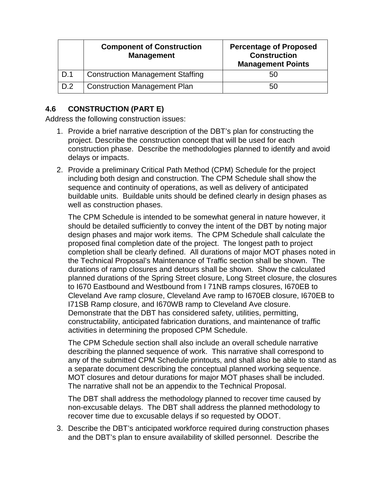|     | <b>Component of Construction</b><br><b>Management</b> | <b>Percentage of Proposed</b><br><b>Construction</b><br><b>Management Points</b> |
|-----|-------------------------------------------------------|----------------------------------------------------------------------------------|
| D.1 | <b>Construction Management Staffing</b>               |                                                                                  |
| D.2 | <b>Construction Management Plan</b>                   | 50                                                                               |

#### **4.6 CONSTRUCTION (PART E)**

Address the following construction issues:

- 1. Provide a brief narrative description of the DBT's plan for constructing the project. Describe the construction concept that will be used for each construction phase. Describe the methodologies planned to identify and avoid delays or impacts.
- 2. Provide a preliminary Critical Path Method (CPM) Schedule for the project including both design and construction. The CPM Schedule shall show the sequence and continuity of operations, as well as delivery of anticipated buildable units. Buildable units should be defined clearly in design phases as well as construction phases.

The CPM Schedule is intended to be somewhat general in nature however, it should be detailed sufficiently to convey the intent of the DBT by noting major design phases and major work items. The CPM Schedule shall calculate the proposed final completion date of the project. The longest path to project completion shall be clearly defined. All durations of major MOT phases noted in the Technical Proposal's Maintenance of Traffic section shall be shown. The durations of ramp closures and detours shall be shown. Show the calculated planned durations of the Spring Street closure, Long Street closure, the closures to I670 Eastbound and Westbound from I 71NB ramps closures, I670EB to Cleveland Ave ramp closure, Cleveland Ave ramp to I670EB closure, I670EB to I71SB Ramp closure, and I670WB ramp to Cleveland Ave closure. Demonstrate that the DBT has considered safety, utilities, permitting, constructability, anticipated fabrication durations, and maintenance of traffic activities in determining the proposed CPM Schedule.

The CPM Schedule section shall also include an overall schedule narrative describing the planned sequence of work. This narrative shall correspond to any of the submitted CPM Schedule printouts, and shall also be able to stand as a separate document describing the conceptual planned working sequence. MOT closures and detour durations for major MOT phases shall be included. The narrative shall not be an appendix to the Technical Proposal.

The DBT shall address the methodology planned to recover time caused by non-excusable delays. The DBT shall address the planned methodology to recover time due to excusable delays if so requested by ODOT.

3. Describe the DBT's anticipated workforce required during construction phases and the DBT's plan to ensure availability of skilled personnel. Describe the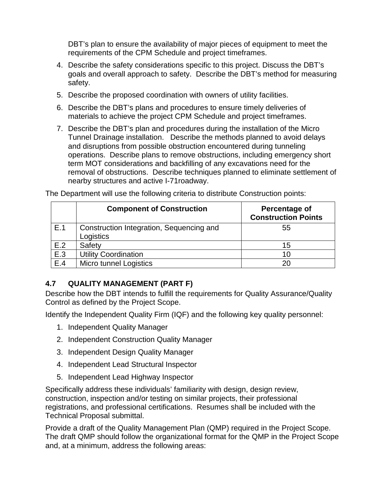DBT's plan to ensure the availability of major pieces of equipment to meet the requirements of the CPM Schedule and project timeframes.

- 4. Describe the safety considerations specific to this project. Discuss the DBT's goals and overall approach to safety. Describe the DBT's method for measuring safety.
- 5. Describe the proposed coordination with owners of utility facilities.
- 6. Describe the DBT's plans and procedures to ensure timely deliveries of materials to achieve the project CPM Schedule and project timeframes.
- 7. Describe the DBT's plan and procedures during the installation of the Micro Tunnel Drainage installation. Describe the methods planned to avoid delays and disruptions from possible obstruction encountered during tunneling operations. Describe plans to remove obstructions, including emergency short term MOT considerations and backfilling of any excavations need for the removal of obstructions. Describe techniques planned to eliminate settlement of nearby structures and active I-71roadway.

|     | <b>Component of Construction</b>                      | Percentage of<br><b>Construction Points</b> |
|-----|-------------------------------------------------------|---------------------------------------------|
| E.1 | Construction Integration, Sequencing and<br>Logistics | 55                                          |
| E.2 | Safety                                                | 15                                          |
| E.3 | <b>Utility Coordination</b>                           | 10                                          |
| E.4 | <b>Micro tunnel Logistics</b>                         | 20                                          |

The Department will use the following criteria to distribute Construction points:

#### **4.7 QUALITY MANAGEMENT (PART F)**

Describe how the DBT intends to fulfill the requirements for Quality Assurance/Quality Control as defined by the Project Scope.

Identify the Independent Quality Firm (IQF) and the following key quality personnel:

- 1. Independent Quality Manager
- 2. Independent Construction Quality Manager
- 3. Independent Design Quality Manager
- 4. Independent Lead Structural Inspector
- 5. Independent Lead Highway Inspector

Specifically address these individuals' familiarity with design, design review, construction, inspection and/or testing on similar projects, their professional registrations, and professional certifications. Resumes shall be included with the Technical Proposal submittal.

Provide a draft of the Quality Management Plan (QMP) required in the Project Scope. The draft QMP should follow the organizational format for the QMP in the Project Scope and, at a minimum, address the following areas: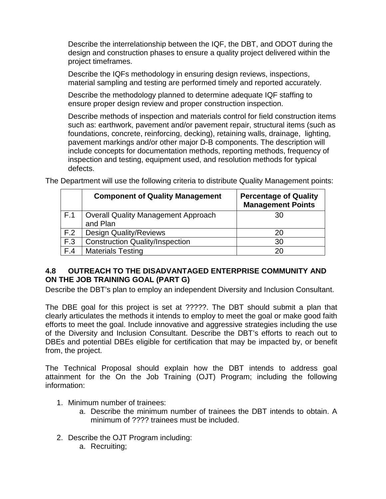Describe the interrelationship between the IQF, the DBT, and ODOT during the design and construction phases to ensure a quality project delivered within the project timeframes.

Describe the IQFs methodology in ensuring design reviews, inspections, material sampling and testing are performed timely and reported accurately.

Describe the methodology planned to determine adequate IQF staffing to ensure proper design review and proper construction inspection.

Describe methods of inspection and materials control for field construction items such as: earthwork, pavement and/or pavement repair, structural items (such as foundations, concrete, reinforcing, decking), retaining walls, drainage, lighting, pavement markings and/or other major D-B components. The description will include concepts for documentation methods, reporting methods, frequency of inspection and testing, equipment used, and resolution methods for typical defects.

|     | <b>Component of Quality Management</b>                 | <b>Percentage of Quality</b><br><b>Management Points</b> |
|-----|--------------------------------------------------------|----------------------------------------------------------|
| F.1 | <b>Overall Quality Management Approach</b><br>and Plan | 30                                                       |
| F.2 | <b>Design Quality/Reviews</b>                          | 20                                                       |
| F.3 | <b>Construction Quality/Inspection</b>                 | 30                                                       |
| F.4 | <b>Materials Testing</b>                               | 20                                                       |

The Department will use the following criteria to distribute Quality Management points:

#### **4.8 OUTREACH TO THE DISADVANTAGED ENTERPRISE COMMUNITY AND ON THE JOB TRAINING GOAL (PART G)**

Describe the DBT's plan to employ an independent Diversity and Inclusion Consultant.

The DBE goal for this project is set at ?????. The DBT should submit a plan that clearly articulates the methods it intends to employ to meet the goal or make good faith efforts to meet the goal. Include innovative and aggressive strategies including the use of the Diversity and Inclusion Consultant. Describe the DBT's efforts to reach out to DBEs and potential DBEs eligible for certification that may be impacted by, or benefit from, the project.

The Technical Proposal should explain how the DBT intends to address goal attainment for the On the Job Training (OJT) Program; including the following information:

- 1. Minimum number of trainees:
	- a. Describe the minimum number of trainees the DBT intends to obtain. A minimum of ???? trainees must be included.
- 2. Describe the OJT Program including:
	- a. Recruiting;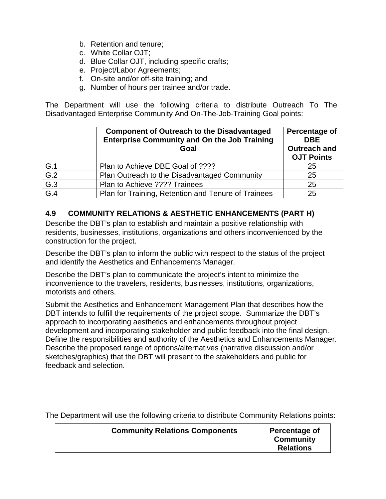- b. Retention and tenure;
- c. White Collar OJT;
- d. Blue Collar OJT, including specific crafts;
- e. Project/Labor Agreements;
- f. On-site and/or off-site training; and
- g. Number of hours per trainee and/or trade.

The Department will use the following criteria to distribute Outreach To The Disadvantaged Enterprise Community And On-The-Job-Training Goal points:

|                  | <b>Component of Outreach to the Disadvantaged</b><br><b>Enterprise Community and On the Job Training</b><br>Goal | Percentage of<br><b>DBE</b><br><b>Outreach and</b><br><b>OJT Points</b> |
|------------------|------------------------------------------------------------------------------------------------------------------|-------------------------------------------------------------------------|
| G.1              | Plan to Achieve DBE Goal of ????                                                                                 | 25                                                                      |
| $\overline{G.2}$ | Plan Outreach to the Disadvantaged Community                                                                     | 25                                                                      |
| G.3              | Plan to Achieve ???? Trainees                                                                                    | 25                                                                      |
| G.4              | Plan for Training, Retention and Tenure of Trainees                                                              | 25                                                                      |

#### **4.9 COMMUNITY RELATIONS & AESTHETIC ENHANCEMENTS (PART H)**

Describe the DBT's plan to establish and maintain a positive relationship with residents, businesses, institutions, organizations and others inconvenienced by the construction for the project.

Describe the DBT's plan to inform the public with respect to the status of the project and identify the Aesthetics and Enhancements Manager.

Describe the DBT's plan to communicate the project's intent to minimize the inconvenience to the travelers, residents, businesses, institutions, organizations, motorists and others.

Submit the Aesthetics and Enhancement Management Plan that describes how the DBT intends to fulfill the requirements of the project scope. Summarize the DBT's approach to incorporating aesthetics and enhancements throughout project development and incorporating stakeholder and public feedback into the final design. Define the responsibilities and authority of the Aesthetics and Enhancements Manager. Describe the proposed range of options/alternatives (narrative discussion and/or sketches/graphics) that the DBT will present to the stakeholders and public for feedback and selection.

The Department will use the following criteria to distribute Community Relations points:

|  | <b>Community Relations Components</b> | Percentage of<br><b>Community</b><br><b>Relations</b> |
|--|---------------------------------------|-------------------------------------------------------|
|--|---------------------------------------|-------------------------------------------------------|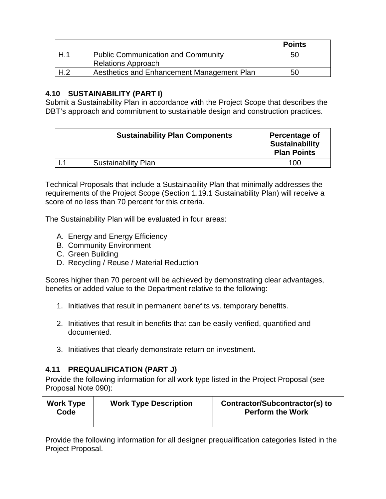|                 |                                            | <b>Points</b> |
|-----------------|--------------------------------------------|---------------|
| H.1             | <b>Public Communication and Community</b>  | 50            |
|                 | <b>Relations Approach</b>                  |               |
| H <sub>.2</sub> | Aesthetics and Enhancement Management Plan | 50            |

## **4.10 SUSTAINABILITY (PART I)**

Submit a Sustainability Plan in accordance with the Project Scope that describes the DBT's approach and commitment to sustainable design and construction practices.

| <b>Sustainability Plan Components</b> | Percentage of<br><b>Sustainability</b><br><b>Plan Points</b> |
|---------------------------------------|--------------------------------------------------------------|
| <b>Sustainability Plan</b>            | 100                                                          |

Technical Proposals that include a Sustainability Plan that minimally addresses the requirements of the Project Scope (Section 1.19.1 Sustainability Plan) will receive a score of no less than 70 percent for this criteria.

The Sustainability Plan will be evaluated in four areas:

- A. Energy and Energy Efficiency
- B. Community Environment
- C. Green Building
- D. Recycling / Reuse / Material Reduction

Scores higher than 70 percent will be achieved by demonstrating clear advantages, benefits or added value to the Department relative to the following:

- 1. Initiatives that result in permanent benefits vs. temporary benefits.
- 2. Initiatives that result in benefits that can be easily verified, quantified and documented.
- 3. Initiatives that clearly demonstrate return on investment.

## **4.11 PREQUALIFICATION (PART J)**

Provide the following information for all work type listed in the Project Proposal (see Proposal Note 090):

| <b>Work Type</b><br>Code | <b>Work Type Description</b> | Contractor/Subcontractor(s) to<br><b>Perform the Work</b> |
|--------------------------|------------------------------|-----------------------------------------------------------|
|                          |                              |                                                           |

Provide the following information for all designer prequalification categories listed in the Project Proposal.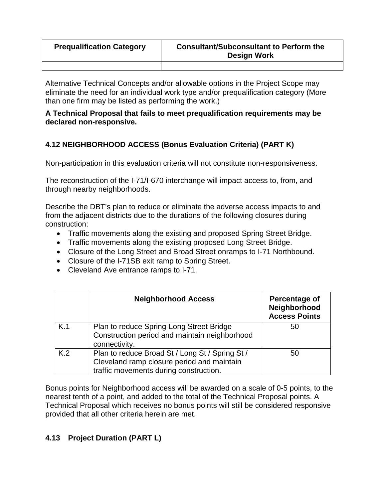| <b>Prequalification Category</b> | <b>Consultant/Subconsultant to Perform the</b><br><b>Design Work</b> |
|----------------------------------|----------------------------------------------------------------------|
|                                  |                                                                      |

Alternative Technical Concepts and/or allowable options in the Project Scope may eliminate the need for an individual work type and/or prequalification category (More than one firm may be listed as performing the work.)

### **A Technical Proposal that fails to meet prequalification requirements may be declared non-responsive.**

## **4.12 NEIGHBORHOOD ACCESS (Bonus Evaluation Criteria) (PART K)**

Non-participation in this evaluation criteria will not constitute non-responsiveness.

The reconstruction of the I-71/I-670 interchange will impact access to, from, and through nearby neighborhoods.

Describe the DBT's plan to reduce or eliminate the adverse access impacts to and from the adjacent districts due to the durations of the following closures during construction:

- Traffic movements along the existing and proposed Spring Street Bridge.
- Traffic movements along the existing proposed Long Street Bridge.
- Closure of the Long Street and Broad Street onramps to I-71 Northbound.
- Closure of the I-71SB exit ramp to Spring Street.
- Cleveland Ave entrance ramps to I-71.

|     | <b>Neighborhood Access</b>                                                                                                              | Percentage of<br>Neighborhood<br><b>Access Points</b> |
|-----|-----------------------------------------------------------------------------------------------------------------------------------------|-------------------------------------------------------|
| K.1 | Plan to reduce Spring-Long Street Bridge<br>Construction period and maintain neighborhood<br>connectivity.                              | 50                                                    |
| K.2 | Plan to reduce Broad St / Long St / Spring St /<br>Cleveland ramp closure period and maintain<br>traffic movements during construction. | 50                                                    |

Bonus points for Neighborhood access will be awarded on a scale of 0-5 points, to the nearest tenth of a point, and added to the total of the Technical Proposal points. A Technical Proposal which receives no bonus points will still be considered responsive provided that all other criteria herein are met.

## **4.13 Project Duration (PART L)**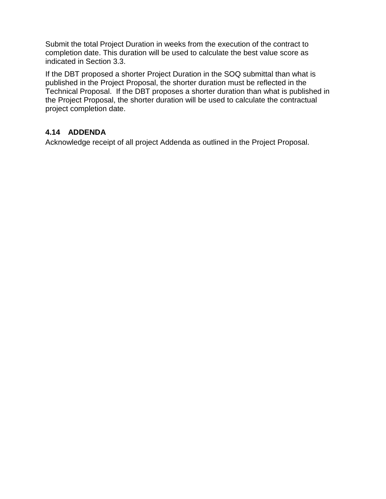Submit the total Project Duration in weeks from the execution of the contract to completion date. This duration will be used to calculate the best value score as indicated in Section 3.3.

If the DBT proposed a shorter Project Duration in the SOQ submittal than what is published in the Project Proposal, the shorter duration must be reflected in the Technical Proposal. If the DBT proposes a shorter duration than what is published in the Project Proposal, the shorter duration will be used to calculate the contractual project completion date.

## **4.14 ADDENDA**

Acknowledge receipt of all project Addenda as outlined in the Project Proposal.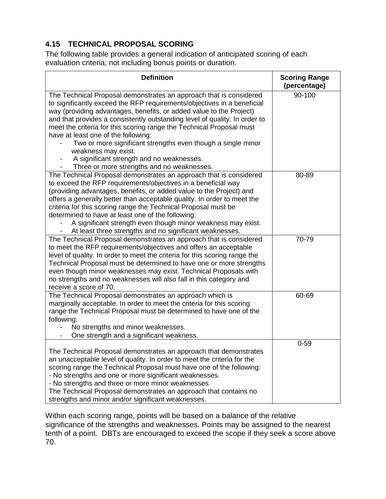## **4.15 TECHNICAL PROPOSAL SCORING**

The following table provides a general indication of anticipated scoring of each evaluation criteria; not including bonus points or duration.

| <b>Definition</b>                                                                                                                                                                                                                                                                                                                                                                                                                                                                                                                                                                                   | <b>Scoring Range</b><br>(percentage) |
|-----------------------------------------------------------------------------------------------------------------------------------------------------------------------------------------------------------------------------------------------------------------------------------------------------------------------------------------------------------------------------------------------------------------------------------------------------------------------------------------------------------------------------------------------------------------------------------------------------|--------------------------------------|
| The Technical Proposal demonstrates an approach that is considered<br>to significantly exceed the RFP requirements/objectives in a beneficial<br>way (providing advantages, benefits, or added value to the Project)<br>and that provides a consistently outstanding level of quality. In order to<br>meet the criteria for this scoring range the Technical Proposal must<br>have at least one of the following:<br>Two or more significant strengths even though a single minor<br>weakness may exist.<br>A significant strength and no weaknesses.<br>Three or more strengths and no weaknesses. | 90-100                               |
| The Technical Proposal demonstrates an approach that is considered<br>to exceed the RFP requirements/objectives in a beneficial way<br>(providing advantages, benefits, or added value to the Project) and<br>offers a generally better than acceptable quality. In order to meet the<br>criteria for this scoring range the Technical Proposal must be<br>determined to have at least one of the following:<br>A significant strength even though minor weakness may exist.<br>At least three strengths and no significant weaknesses.                                                             | 80-89                                |
| The Technical Proposal demonstrates an approach that is considered<br>to meet the RFP requirements/objectives and offers an acceptable<br>level of quality. In order to meet the criteria for this scoring range the<br>Technical Proposal must be determined to have one or more strengths<br>even though minor weaknesses may exist. Technical Proposals with<br>no strengths and no weaknesses will also fall in this category and<br>receive a score of 70.                                                                                                                                     | 70-79                                |
| The Technical Proposal demonstrates an approach which is<br>marginally acceptable. In order to meet the criteria for this scoring<br>range the Technical Proposal must be determined to have one of the<br>following:<br>No strengths and minor weaknesses.<br>One strength and a significant weakness.                                                                                                                                                                                                                                                                                             | 60-69                                |
| The Technical Proposal demonstrates an approach that demonstrates<br>an unacceptable level of quality. In order to meet the criteria for the<br>scoring range the Technical Proposal must have one of the following:<br>- No strengths and one or more significant weaknesses.<br>- No strengths and three or more minor weaknesses<br>The Technical Proposal demonstrates an approach that contains no<br>strengths and minor and/or significant weaknesses.                                                                                                                                       | $0 - 59$                             |

Within each scoring range, points will be based on a balance of the relative significance of the strengths and weaknesses. Points may be assigned to the nearest tenth of a point. DBTs are encouraged to exceed the scope if they seek a score above 70.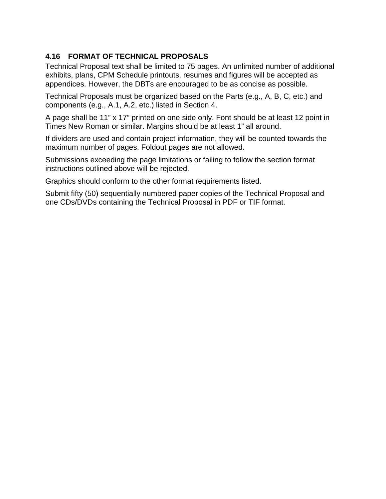## **4.16 FORMAT OF TECHNICAL PROPOSALS**

Technical Proposal text shall be limited to 75 pages. An unlimited number of additional exhibits, plans, CPM Schedule printouts, resumes and figures will be accepted as appendices. However, the DBTs are encouraged to be as concise as possible.

Technical Proposals must be organized based on the Parts (e.g., A, B, C, etc.) and components (e.g., A.1, A.2, etc.) listed in Section 4.

A page shall be 11" x 17" printed on one side only. Font should be at least 12 point in Times New Roman or similar. Margins should be at least 1" all around.

If dividers are used and contain project information, they will be counted towards the maximum number of pages. Foldout pages are not allowed.

Submissions exceeding the page limitations or failing to follow the section format instructions outlined above will be rejected.

Graphics should conform to the other format requirements listed.

Submit fifty (50) sequentially numbered paper copies of the Technical Proposal and one CDs/DVDs containing the Technical Proposal in PDF or TIF format.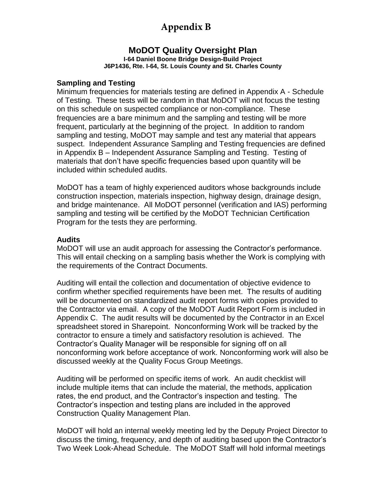## **Appendix B**

## **MoDOT Quality Oversight Plan**

**I-64 Daniel Boone Bridge Design-Build Project J6P1436, Rte. I-64, St. Louis County and St. Charles County**

#### **Sampling and Testing**

Minimum frequencies for materials testing are defined in Appendix A - Schedule of Testing. These tests will be random in that MoDOT will not focus the testing on this schedule on suspected compliance or non-compliance. These frequencies are a bare minimum and the sampling and testing will be more frequent, particularly at the beginning of the project. In addition to random sampling and testing, MoDOT may sample and test any material that appears suspect. Independent Assurance Sampling and Testing frequencies are defined in Appendix B – Independent Assurance Sampling and Testing. Testing of materials that don't have specific frequencies based upon quantity will be included within scheduled audits.

MoDOT has a team of highly experienced auditors whose backgrounds include construction inspection, materials inspection, highway design, drainage design, and bridge maintenance. All MoDOT personnel (verification and IAS) performing sampling and testing will be certified by the MoDOT Technician Certification Program for the tests they are performing.

#### **Audits**

MoDOT will use an audit approach for assessing the Contractor's performance. This will entail checking on a sampling basis whether the Work is complying with the requirements of the Contract Documents.

Auditing will entail the collection and documentation of objective evidence to confirm whether specified requirements have been met. The results of auditing will be documented on standardized audit report forms with copies provided to the Contractor via email. A copy of the MoDOT Audit Report Form is included in Appendix C. The audit results will be documented by the Contractor in an Excel spreadsheet stored in Sharepoint. Nonconforming Work will be tracked by the contractor to ensure a timely and satisfactory resolution is achieved. The Contractor's Quality Manager will be responsible for signing off on all nonconforming work before acceptance of work. Nonconforming work will also be discussed weekly at the Quality Focus Group Meetings.

Auditing will be performed on specific items of work. An audit checklist will include multiple items that can include the material, the methods, application rates, the end product, and the Contractor's inspection and testing. The Contractor's inspection and testing plans are included in the approved Construction Quality Management Plan.

MoDOT will hold an internal weekly meeting led by the Deputy Project Director to discuss the timing, frequency, and depth of auditing based upon the Contractor's Two Week Look-Ahead Schedule. The MoDOT Staff will hold informal meetings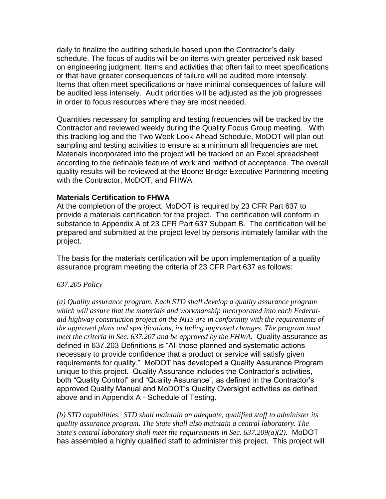daily to finalize the auditing schedule based upon the Contractor's daily schedule. The focus of audits will be on items with greater perceived risk based on engineering judgment. Items and activities that often fail to meet specifications or that have greater consequences of failure will be audited more intensely. Items that often meet specifications or have minimal consequences of failure will be audited less intensely. Audit priorities will be adjusted as the job progresses in order to focus resources where they are most needed.

Quantities necessary for sampling and testing frequencies will be tracked by the Contractor and reviewed weekly during the Quality Focus Group meeting. With this tracking log and the Two Week Look-Ahead Schedule, MoDOT will plan out sampling and testing activities to ensure at a minimum all frequencies are met. Materials incorporated into the project will be tracked on an Excel spreadsheet according to the definable feature of work and method of acceptance. The overall quality results will be reviewed at the Boone Bridge Executive Partnering meeting with the Contractor, MoDOT, and FHWA.

#### **Materials Certification to FHWA**

At the completion of the project, MoDOT is required by 23 CFR Part 637 to provide a materials certification for the project. The certification will conform in substance to Appendix A of 23 CFR Part 637 Subpart B. The certification will be prepared and submitted at the project level by persons intimately familiar with the project.

The basis for the materials certification will be upon implementation of a quality assurance program meeting the criteria of 23 CFR Part 637 as follows:

#### *637.205 Policy*

*(a) Quality assurance program. Each STD shall develop a quality assurance program which will assure that the materials and workmanship incorporated into each Federalaid highway construction project on the NHS are in conformity with the requirements of the approved plans and specifications, including approved changes. The program must meet the criteria in Sec. 637.207 and be approved by the FHWA.* Quality assurance as defined in 637.203 Definitions is "All those planned and systematic actions necessary to provide confidence that a product or service will satisfy given requirements for quality." MoDOT has developed a Quality Assurance Program unique to this project. Quality Assurance includes the Contractor's activities, both "Quality Control" and "Quality Assurance", as defined in the Contractor's approved Quality Manual and MoDOT's Quality Oversight activities as defined above and in Appendix A - Schedule of Testing.

*(b) STD capabilities. STD shall maintain an adequate, qualified staff to administer its quality assurance program. The State shall also maintain a central laboratory. The State's central laboratory shall meet the requirements in Sec. 637.209(a)(2).* MoDOT has assembled a highly qualified staff to administer this project. This project will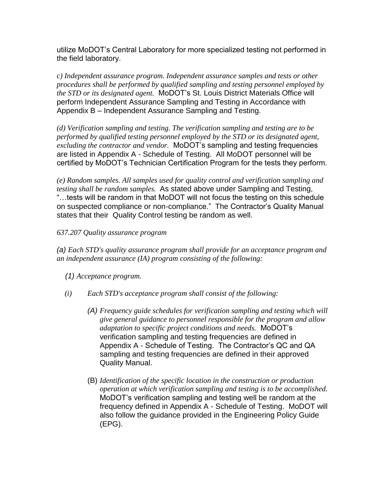utilize MoDOT's Central Laboratory for more specialized testing not performed in the field laboratory.

*c) Independent assurance program. Independent assurance samples and tests or other procedures shall be performed by qualified sampling and testing personnel employed by the STD or its designated agent.* MoDOT's St. Louis District Materials Office will perform Independent Assurance Sampling and Testing in Accordance with Appendix B – Independent Assurance Sampling and Testing.

*(d) Verification sampling and testing. The verification sampling and testing are to be performed by qualified testing personnel employed by the STD or its designated agent, excluding the contractor and vendor.* MoDOT's sampling and testing frequencies are listed in Appendix A - Schedule of Testing. All MoDOT personnel will be certified by MoDOT's Technician Certification Program for the tests they perform.

*(e) Random samples. All samples used for quality control and verification sampling and testing shall be random samples.* As stated above under Sampling and Testing, "…tests will be random in that MoDOT will not focus the testing on this schedule on suspected compliance or non-compliance." The Contractor's Quality Manual states that their Quality Control testing be random as well.

#### *637.207 Quality assurance program*

*(a) Each STD's quality assurance program shall provide for an acceptance program and an independent assurance (IA) program consisting of the following:*

 *(1) Acceptance program.*

- *(i) Each STD's acceptance program shall consist of the following:*
	- *(A) Frequency guide schedules for verification sampling and testing which will give general guidance to personnel responsible for the program and allow adaptation to specific project conditions and needs.* MoDOT's verification sampling and testing frequencies are defined in Appendix A - Schedule of Testing. The Contractor's QC and QA sampling and testing frequencies are defined in their approved Quality Manual.
	- (B) *Identification of the specific location in the construction or production operation at which verification sampling and testing is to be accomplished.*  MoDOT's verification sampling and testing well be random at the frequency defined in Appendix A - Schedule of Testing. MoDOT will also follow the guidance provided in the Engineering Policy Guide (EPG).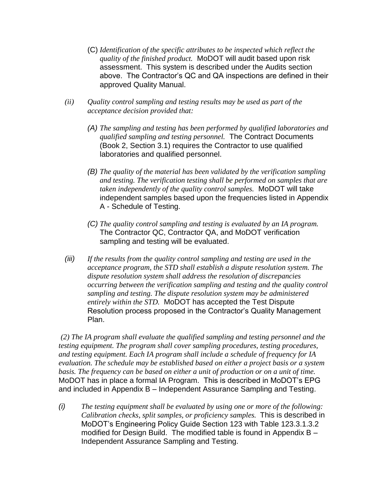- (C) *Identification of the specific attributes to be inspected which reflect the quality of the finished product.* MoDOT will audit based upon risk assessment. This system is described under the Audits section above. The Contractor's QC and QA inspections are defined in their approved Quality Manual.
- *(ii) Quality control sampling and testing results may be used as part of the acceptance decision provided that:*
	- *(A) The sampling and testing has been performed by qualified laboratories and qualified sampling and testing personnel.* The Contract Documents (Book 2, Section 3.1) requires the Contractor to use qualified laboratories and qualified personnel.
	- *(B) The quality of the material has been validated by the verification sampling and testing. The verification testing shall be performed on samples that are taken independently of the quality control samples.* MoDOT will take independent samples based upon the frequencies listed in Appendix A - Schedule of Testing.
	- *(C) The quality control sampling and testing is evaluated by an IA program.*  The Contractor QC, Contractor QA, and MoDOT verification sampling and testing will be evaluated.
- *(iii) If the results from the quality control sampling and testing are used in the acceptance program, the STD shall establish a dispute resolution system. The dispute resolution system shall address the resolution of discrepancies occurring between the verification sampling and testing and the quality control sampling and testing. The dispute resolution system may be administered entirely within the STD.* MoDOT has accepted the Test Dispute Resolution process proposed in the Contractor's Quality Management Plan.

*(2) The IA program shall evaluate the qualified sampling and testing personnel and the testing equipment. The program shall cover sampling procedures, testing procedures, and testing equipment. Each IA program shall include a schedule of frequency for IA evaluation. The schedule may be established based on either a project basis or a system basis. The frequency can be based on either a unit of production or on a unit of time.* MoDOT has in place a formal IA Program. This is described in MoDOT's EPG and included in Appendix B – Independent Assurance Sampling and Testing.

*(i) The testing equipment shall be evaluated by using one or more of the following: Calibration checks, split samples, or proficiency samples.* This is described in MoDOT's Engineering Policy Guide Section 123 with Table 123.3.1.3.2 modified for Design Build. The modified table is found in Appendix B – Independent Assurance Sampling and Testing.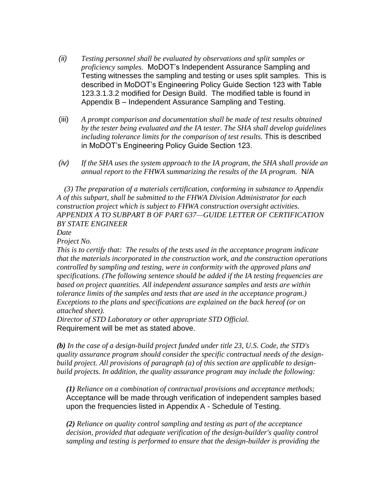- *(ii) Testing personnel shall be evaluated by observations and split samples or proficiency samples.* MoDOT's Independent Assurance Sampling and Testing witnesses the sampling and testing or uses split samples. This is described in MoDOT's Engineering Policy Guide Section 123 with Table 123.3.1.3.2 modified for Design Build. The modified table is found in Appendix B – Independent Assurance Sampling and Testing.
- (iii) *A prompt comparison and documentation shall be made of test results obtained by the tester being evaluated and the IA tester. The SHA shall develop guidelines including tolerance limits for the comparison of test results.* This is described in MoDOT's Engineering Policy Guide Section 123.
- *(iv) If the SHA uses the system approach to the IA program, the SHA shall provide an annual report to the FHWA summarizing the results of the IA program.* N/A

 *(3) The preparation of a materials certification, conforming in substance to Appendix A of this subpart, shall be submitted to the FHWA Division Administrator for each construction project which is subject to FHWA construction oversight activities. APPENDIX A TO SUBPART B OF PART 637—GUIDE LETTER OF CERTIFICATION BY STATE ENGINEER*

*Date* 

*Project No.* 

*This is to certify that: The results of the tests used in the acceptance program indicate that the materials incorporated in the construction work, and the construction operations controlled by sampling and testing, were in conformity with the approved plans and specifications. (The following sentence should be added if the IA testing frequencies are based on project quantities. All independent assurance samples and tests are within tolerance limits of the samples and tests that are used in the acceptance program.) Exceptions to the plans and specifications are explained on the back hereof (or on attached sheet).*

*Director of STD Laboratory or other appropriate STD Official.* Requirement will be met as stated above.

*(b) In the case of a design-build project funded under title 23, U.S. Code, the STD's quality assurance program should consider the specific contractual needs of the designbuild project. All provisions of paragraph (a) of this section are applicable to designbuild projects. In addition, the quality assurance program may include the following:* 

*(1) Reliance on a combination of contractual provisions and acceptance methods;*  Acceptance will be made through verification of independent samples based upon the frequencies listed in Appendix A - Schedule of Testing.

*(2) Reliance on quality control sampling and testing as part of the acceptance decision, provided that adequate verification of the design-builder's quality control sampling and testing is performed to ensure that the design-builder is providing the*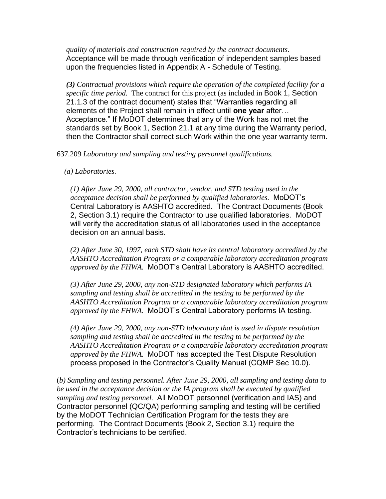*quality of materials and construction required by the contract documents.*  Acceptance will be made through verification of independent samples based upon the frequencies listed in Appendix A - Schedule of Testing.

*(3) Contractual provisions which require the operation of the completed facility for a specific time period.* The contract for this project (as included in Book 1, Section 21.1.3 of the contract document) states that "Warranties regarding all elements of the Project shall remain in effect until **one year** after… Acceptance." If MoDOT determines that any of the Work has not met the standards set by Book 1, Section 21.1 at any time during the Warranty period, then the Contractor shall correct such Work within the one year warranty term.

637.209 *Laboratory and sampling and testing personnel qualifications.*

 *(a) Laboratories.*

*(1) After June 29, 2000, all contractor, vendor, and STD testing used in the acceptance decision shall be performed by qualified laboratories.* MoDOT's Central Laboratory is AASHTO accredited. The Contract Documents (Book 2, Section 3.1) require the Contractor to use qualified laboratories. MoDOT will verify the accreditation status of all laboratories used in the acceptance decision on an annual basis.

*(2) After June 30, 1997, each STD shall have its central laboratory accredited by the AASHTO Accreditation Program or a comparable laboratory accreditation program approved by the FHWA.* MoDOT's Central Laboratory is AASHTO accredited.

*(3) After June 29, 2000, any non-STD designated laboratory which performs IA sampling and testing shall be accredited in the testing to be performed by the AASHTO Accreditation Program or a comparable laboratory accreditation program approved by the FHWA.* MoDOT's Central Laboratory performs IA testing.

*(4) After June 29, 2000, any non-STD laboratory that is used in dispute resolution sampling and testing shall be accredited in the testing to be performed by the AASHTO Accreditation Program or a comparable laboratory accreditation program approved by the FHWA.* MoDOT has accepted the Test Dispute Resolution process proposed in the Contractor's Quality Manual (CQMP Sec 10.0).

(*b) Sampling and testing personnel. After June 29, 2000, all sampling and testing data to be used in the acceptance decision or the IA program shall be executed by qualified sampling and testing personnel.* All MoDOT personnel (verification and IAS) and Contractor personnel (QC/QA) performing sampling and testing will be certified by the MoDOT Technician Certification Program for the tests they are performing. The Contract Documents (Book 2, Section 3.1) require the Contractor's technicians to be certified.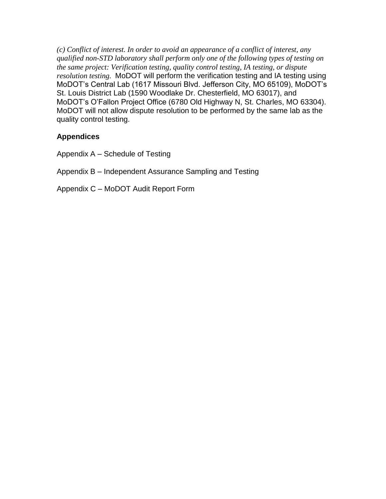*(c) Conflict of interest. In order to avoid an appearance of a conflict of interest, any qualified non-STD laboratory shall perform only one of the following types of testing on the same project: Verification testing, quality control testing, IA testing, or dispute resolution testing.* MoDOT will perform the verification testing and IA testing using MoDOT's Central Lab (1617 Missouri Blvd. Jefferson City, MO 65109), MoDOT's St. Louis District Lab (1590 Woodlake Dr. Chesterfield, MO 63017), and MoDOT's O'Fallon Project Office (6780 Old Highway N, St. Charles, MO 63304). MoDOT will not allow dispute resolution to be performed by the same lab as the quality control testing.

### **Appendices**

Appendix A – Schedule of Testing

Appendix B – Independent Assurance Sampling and Testing

Appendix C – MoDOT Audit Report Form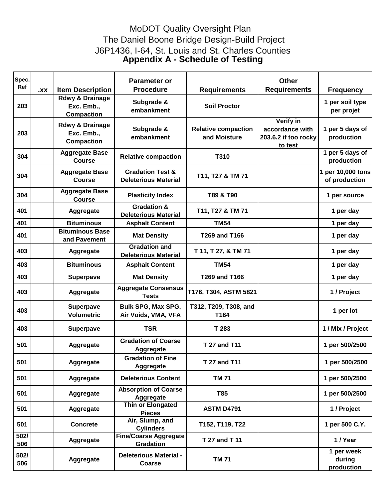## The Daniel Boone Bridge Design-Build Project MoDOT Quality Oversight Plan J6P1436, I-64, St. Louis and St. Charles Counties **Appendix A - Schedule of Testing**

| Spec.<br>Ref | XX. | <b>Item Description</b>                                       | <b>Parameter or</b><br><b>Procedure</b>                    | <b>Requirements</b>                        | <b>Other</b><br><b>Requirements</b>                                    | <b>Frequency</b>                   |
|--------------|-----|---------------------------------------------------------------|------------------------------------------------------------|--------------------------------------------|------------------------------------------------------------------------|------------------------------------|
| 203          |     | <b>Rdwy &amp; Drainage</b><br>Exc. Emb.,<br><b>Compaction</b> | Subgrade &<br>embankment                                   | <b>Soil Proctor</b>                        |                                                                        | 1 per soil type<br>per projet      |
| 203          |     | <b>Rdwy &amp; Drainage</b><br>Exc. Emb.,<br><b>Compaction</b> | Subgrade &<br>embankment                                   | <b>Relative compaction</b><br>and Moisture | <b>Verify in</b><br>accordance with<br>203.6.2 if too rocky<br>to test | 1 per 5 days of<br>production      |
| 304          |     | <b>Aggregate Base</b><br><b>Course</b>                        | <b>Relative compaction</b>                                 | T310                                       |                                                                        | 1 per 5 days of<br>production      |
| 304          |     | <b>Aggregate Base</b><br><b>Course</b>                        | <b>Gradation Test &amp;</b><br><b>Deleterious Material</b> | T11, T27 & TM 71                           |                                                                        | 1 per 10,000 tons<br>of production |
| 304          |     | <b>Aggregate Base</b><br><b>Course</b>                        | <b>Plasticity Index</b>                                    | T89 & T90                                  |                                                                        | 1 per source                       |
| 401          |     | <b>Aggregate</b>                                              | <b>Gradation &amp;</b><br><b>Deleterious Material</b>      | T11, T27 & TM 71                           |                                                                        | 1 per day                          |
| 401          |     | <b>Bituminous</b>                                             | <b>Asphalt Content</b>                                     | <b>TM54</b>                                |                                                                        | 1 per day                          |
| 401          |     | <b>Bituminous Base</b><br>and Pavement                        | <b>Mat Density</b>                                         | T269 and T166                              |                                                                        | 1 per day                          |
| 403          |     | <b>Aggregate</b>                                              | <b>Gradation and</b><br><b>Deleterious Material</b>        | T 11, T 27, & TM 71                        |                                                                        | 1 per day                          |
| 403          |     | <b>Bituminous</b>                                             | <b>Asphalt Content</b>                                     | <b>TM54</b>                                |                                                                        | 1 per day                          |
| 403          |     | <b>Superpave</b>                                              | <b>Mat Density</b>                                         | <b>T269 and T166</b>                       |                                                                        | 1 per day                          |
| 403          |     | <b>Aggregate</b>                                              | <b>Aggregate Consensus</b><br><b>Tests</b>                 | T176, T304, ASTM 5821                      |                                                                        | 1 / Project                        |
| 403          |     | Superpave<br><b>Volumetric</b>                                | <b>Bulk SPG, Max SPG,</b><br>Air Voids, VMA, VFA           | T312, T209, T308, and<br>T164              |                                                                        | 1 per lot                          |
| 403          |     | <b>Superpave</b>                                              | <b>TSR</b>                                                 | T 283                                      |                                                                        | 1 / Mix / Project                  |
| 501          |     | <b>Aggregate</b>                                              | <b>Gradation of Coarse</b><br><b>Aggregate</b>             | <b>T 27 and T11</b>                        |                                                                        | 1 per 500/2500                     |
| 501          |     | <b>Aggregate</b>                                              | <b>Gradation of Fine</b><br><b>Aggregate</b>               | <b>T 27 and T11</b>                        |                                                                        | 1 per 500/2500                     |
| 501          |     | Aggregate                                                     | <b>Deleterious Content</b>                                 | <b>TM 71</b>                               |                                                                        | 1 per 500/2500                     |
| 501          |     | Aggregate                                                     | <b>Absorption of Coarse</b><br>Aggregate                   | T85                                        |                                                                        | 1 per 500/2500                     |
| 501          |     | Aggregate                                                     | Thin or Elongated<br><b>Pieces</b>                         | <b>ASTM D4791</b>                          |                                                                        | 1 / Project                        |
| 501          |     | <b>Concrete</b>                                               | Air, Slump, and<br><b>Cylinders</b>                        | T152, T119, T22                            |                                                                        | 1 per 500 C.Y.                     |
| 502/<br>506  |     | <b>Aggregate</b>                                              | <b>Fine/Coarse Aggregate</b><br><b>Gradation</b>           | T 27 and T 11                              |                                                                        | 1 / Year                           |
| 502/<br>506  |     | <b>Aggregate</b>                                              | <b>Deleterious Material -</b><br><b>Coarse</b>             | <b>TM 71</b>                               |                                                                        | 1 per week<br>during<br>production |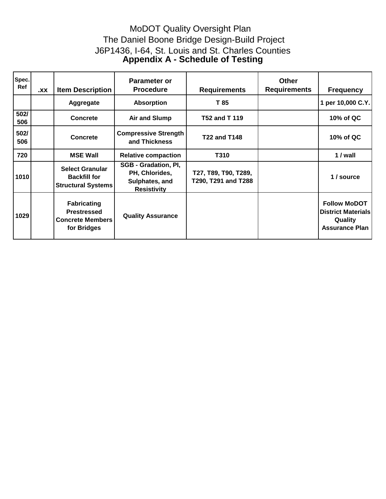## The Daniel Boone Bridge Design-Build Project MoDOT Quality Oversight Plan J6P1436, I-64, St. Louis and St. Charles Counties **Appendix A - Schedule of Testing**

| Spec.<br>Ref | XX. | <b>Item Description</b>                                                            | <b>Parameter or</b><br><b>Procedure</b>                                               | <b>Requirements</b>                         | <b>Other</b><br><b>Requirements</b> | <b>Frequency</b>                                                                     |
|--------------|-----|------------------------------------------------------------------------------------|---------------------------------------------------------------------------------------|---------------------------------------------|-------------------------------------|--------------------------------------------------------------------------------------|
|              |     | Aggregate                                                                          | <b>Absorption</b>                                                                     | T 85                                        |                                     | 1 per 10,000 C.Y.                                                                    |
| 502/<br>506  |     | <b>Concrete</b>                                                                    | <b>Air and Slump</b>                                                                  | T52 and T 119                               |                                     | 10% of QC                                                                            |
| 502/<br>506  |     | Concrete                                                                           | <b>Compressive Strength</b><br>and Thickness                                          | <b>T22 and T148</b>                         |                                     | 10% of QC                                                                            |
| 720          |     | <b>MSE Wall</b>                                                                    | <b>Relative compaction</b>                                                            | T310                                        |                                     | 1 / wall                                                                             |
| 1010         |     | <b>Select Granular</b><br><b>Backfill for</b><br><b>Structural Systems</b>         | <b>SGB - Gradation, PI,</b><br>PH, Chlorides,<br>Sulphates, and<br><b>Resistivity</b> | T27, T89, T90, T289,<br>T290, T291 and T288 |                                     | 1/source                                                                             |
| 1029         |     | <b>Fabricating</b><br><b>Prestressed</b><br><b>Concrete Members</b><br>for Bridges | <b>Quality Assurance</b>                                                              |                                             |                                     | <b>Follow MoDOT</b><br><b>District Materials</b><br>Quality<br><b>Assurance Plan</b> |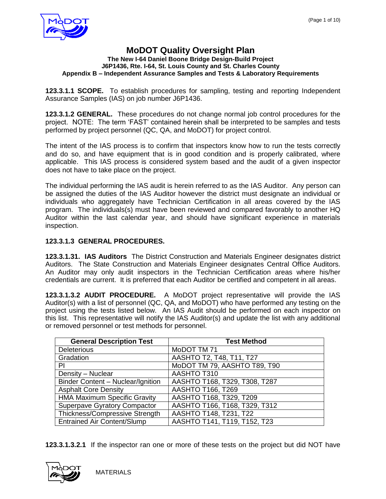

#### **MoDOT Quality Oversight Plan The New I-64 Daniel Boone Bridge Design-Build Project J6P1436, Rte. I-64, St. Louis County and St. Charles County Appendix B – Independent Assurance Samples and Tests & Laboratory Requirements**

**123.3.1.1 SCOPE.** To establish procedures for sampling, testing and reporting Independent Assurance Samples (IAS) on job number J6P1436.

**123.3.1.2 GENERAL.** These procedures do not change normal job control procedures for the project. NOTE: The term 'FAST' contained herein shall be interpreted to be samples and tests performed by project personnel (QC, QA, and MoDOT) for project control.

The intent of the IAS process is to confirm that inspectors know how to run the tests correctly and do so, and have equipment that is in good condition and is properly calibrated, where applicable. This IAS process is considered system based and the audit of a given inspector does not have to take place on the project.

The individual performing the IAS audit is herein referred to as the IAS Auditor. Any person can be assigned the duties of the IAS Auditor however the district must designate an individual or individuals who aggregately have Technician Certification in all areas covered by the IAS program. The individuals(s) must have been reviewed and compared favorably to another HQ Auditor within the last calendar year, and should have significant experience in materials inspection.

#### **123.3.1.3 GENERAL PROCEDURES.**

**123.3.1.31. IAS Auditors** The District Construction and Materials Engineer designates district Auditors. The State Construction and Materials Engineer designates Central Office Auditors. An Auditor may only audit inspectors in the Technician Certification areas where his/her credentials are current. It is preferred that each Auditor be certified and competent in all areas.

**123.3.1.3.2 AUDIT PROCEDURE.** A MoDOT project representative will provide the IAS Auditor(s) with a list of personnel (QC, QA, and MoDOT) who have performed any testing on the project using the tests listed below. An IAS Audit should be performed on each inspector on this list. This representative will notify the IAS Auditor(s) and update the list with any additional or removed personnel or test methods for personnel.

| <b>General Description Test</b>     | <b>Test Method</b>             |
|-------------------------------------|--------------------------------|
| <b>Deleterious</b>                  | MoDOT TM 71                    |
| Gradation                           | AASHTO T2, T48, T11, T27       |
| ΡI                                  | MoDOT TM 79, AASHTO T89, T90   |
| Density - Nuclear                   | AASHTO T310                    |
| Binder Content - Nuclear/Ignition   | AASHTO T168, T329, T308, T287  |
| <b>Asphalt Core Density</b>         | <b>AASHTO T166, T269</b>       |
| <b>HMA Maximum Specific Gravity</b> | <b>AASHTO T168, T329, T209</b> |
| <b>Superpave Gyratory Compactor</b> | AASHTO T166, T168, T329, T312  |
| Thickness/Compressive Strength      | AASHTO T148, T231, T22         |
| <b>Entrained Air Content/Slump</b>  | AASHTO T141, T119, T152, T23   |

**123.3.1.3.2.1** If the inspector ran one or more of these tests on the project but did NOT have

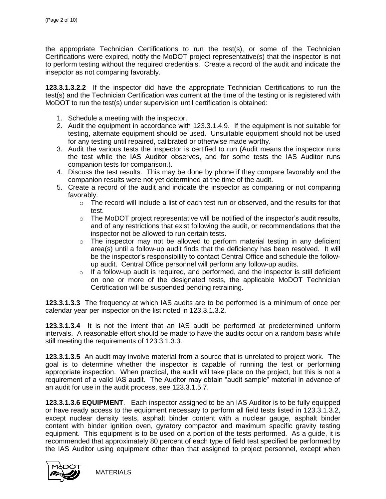the appropriate Technician Certifications to run the test(s), or some of the Technician Certifications were expired, notify the MoDOT project representative(s) that the inspector is not to perform testing without the required credentials. Create a record of the audit and indicate the insepctor as not comparing favorably.

**123.3.1.3.2.2** If the inspector did have the appropriate Technician Certifications to run the test(s) and the Technician Certification was current at the time of the testing or is registered with MoDOT to run the test(s) under supervision until certification is obtained:

- 1. Schedule a meeting with the inspector.
- 2. Audit the equipment in accordance with 123.3.1.4.9. If the equipment is not suitable for testing, alternate equipment should be used. Unsuitable equipment should not be used for any testing until repaired, calibrated or otherwise made worthy.
- 3. Audit the various tests the inspector is certified to run (Audit means the inspector runs the test while the IAS Auditor observes, and for some tests the IAS Auditor runs companion tests for comparison.).
- 4. Discuss the test results. This may be done by phone if they compare favorably and the companion results were not yet determined at the time of the audit.
- 5. Create a record of the audit and indicate the inspector as comparing or not comparing favorably.
	- $\circ$  The record will include a list of each test run or observed, and the results for that test.
	- $\circ$  The MoDOT project representative will be notified of the inspector's audit results, and of any restrictions that exist following the audit, or recommendations that the inspector not be allowed to run certain tests.
	- $\circ$  The inspector may not be allowed to perform material testing in any deficient area(s) until a follow-up audit finds that the deficiency has been resolved. It will be the inspector's responsibility to contact Central Office and schedule the followup audit. Central Office personnel will perform any follow-up audits.
	- $\circ$  If a follow-up audit is required, and performed, and the inspector is still deficient on one or more of the designated tests, the applicable MoDOT Technician Certification will be suspended pending retraining.

**123.3.1.3.3** The frequency at which IAS audits are to be performed is a minimum of once per calendar year per inspector on the list noted in 123.3.1.3.2.

**123.3.1.3.4** It is not the intent that an IAS audit be performed at predetermined uniform intervals. A reasonable effort should be made to have the audits occur on a random basis while still meeting the requirements of 123.3.1.3.3.

**123.3.1.3.5** An audit may involve material from a source that is unrelated to project work. The goal is to determine whether the inspector is capable of running the test or performing appropriate inspection. When practical, the audit will take place on the project, but this is not a requirement of a valid IAS audit. The Auditor may obtain "audit sample" material in advance of an audit for use in the audit process, see 123.3.1.5.7.

**123.3.1.3.6 EQUIPMENT**. Each inspector assigned to be an IAS Auditor is to be fully equipped or have ready access to the equipment necessary to perform all field tests listed in 123.3.1.3.2, except nuclear density tests, asphalt binder content with a nuclear gauge, asphalt binder content with binder ignition oven, gyratory compactor and maximum specific gravity testing equipment. This equipment is to be used on a portion of the tests performed. As a guide, it is recommended that approximately 80 percent of each type of field test specified be performed by the IAS Auditor using equipment other than that assigned to project personnel, except when

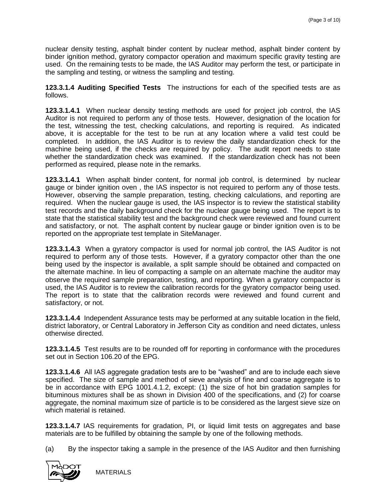nuclear density testing, asphalt binder content by nuclear method, asphalt binder content by binder ignition method, gyratory compactor operation and maximum specific gravity testing are used. On the remaining tests to be made, the IAS Auditor may perform the test, or participate in the sampling and testing, or witness the sampling and testing.

**123.3.1.4 Auditing Specified Tests** The instructions for each of the specified tests are as follows.

**123.3.1.4.1** When nuclear density testing methods are used for project job control, the IAS Auditor is not required to perform any of those tests. However, designation of the location for the test, witnessing the test, checking calculations, and reporting is required. As indicated above, it is acceptable for the test to be run at any location where a valid test could be completed. In addition, the IAS Auditor is to review the daily standardization check for the machine being used, if the checks are required by policy. The audit report needs to state whether the standardization check was examined. If the standardization check has not been performed as required, please note in the remarks.

**123.3.1.4.1** When asphalt binder content, for normal job control, is determined by nuclear gauge or binder ignition oven , the IAS inspector is not required to perform any of those tests. However, observing the sample preparation, testing, checking calculations, and reporting are required. When the nuclear gauge is used, the IAS inspector is to review the statistical stability test records and the daily background check for the nuclear gauge being used. The report is to state that the statistical stability test and the background check were reviewed and found current and satisfactory, or not. The asphalt content by nuclear gauge or binder ignition oven is to be reported on the appropriate test template in SiteManager.

**123.3.1.4.3** When a gyratory compactor is used for normal job control, the IAS Auditor is not required to perform any of those tests. However, if a gyratory compactor other than the one being used by the inspector is available, a split sample should be obtained and compacted on the alternate machine. In lieu of compacting a sample on an alternate machine the auditor may observe the required sample preparation, testing, and reporting. When a gyratory compactor is used, the IAS Auditor is to review the calibration records for the gyratory compactor being used. The report is to state that the calibration records were reviewed and found current and satisfactory, or not.

**123.3.1.4.4** Independent Assurance tests may be performed at any suitable location in the field, district laboratory, or Central Laboratory in Jefferson City as condition and need dictates, unless otherwise directed.

**123.3.1.4.5** Test results are to be rounded off for reporting in conformance with the procedures set out in Section 106.20 of the EPG.

**123.3.1.4.6** All IAS aggregate gradation tests are to be "washed" and are to include each sieve specified. The size of sample and method of sieve analysis of fine and coarse aggregate is to be in accordance with EPG 1001.4.1.2, except: (1) the size of hot bin gradation samples for bituminous mixtures shall be as shown in Division 400 of the specifications, and (2) for coarse aggregate, the nominal maximum size of particle is to be considered as the largest sieve size on which material is retained.

**123.3.1.4.7** IAS requirements for gradation, PI, or liquid limit tests on aggregates and base materials are to be fulfilled by obtaining the sample by one of the following methods.

(a) By the inspector taking a sample in the presence of the IAS Auditor and then furnishing

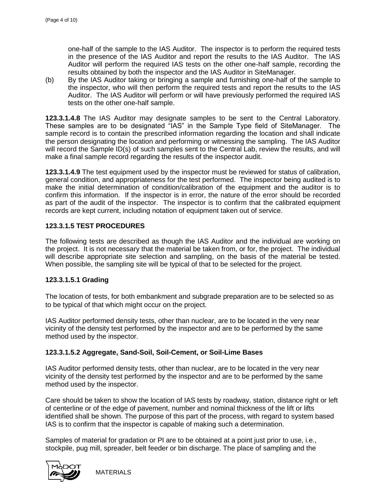one-half of the sample to the IAS Auditor. The inspector is to perform the required tests in the presence of the IAS Auditor and report the results to the IAS Auditor. The IAS Auditor will perform the required IAS tests on the other one-half sample, recording the results obtained by both the inspector and the IAS Auditor in SiteManager.

(b) By the IAS Auditor taking or bringing a sample and furnishing one-half of the sample to the inspector, who will then perform the required tests and report the results to the IAS Auditor. The IAS Auditor will perform or will have previously performed the required IAS tests on the other one-half sample.

**123.3.1.4.8** The IAS Auditor may designate samples to be sent to the Central Laboratory. These samples are to be designated "IAS" in the Sample Type field of SiteManager. The sample record is to contain the prescribed information regarding the location and shall indicate the person designating the location and performing or witnessing the sampling. The IAS Auditor will record the Sample ID(s) of such samples sent to the Central Lab, review the results, and will make a final sample record regarding the results of the inspector audit.

**123.3.1.4.9** The test equipment used by the inspector must be reviewed for status of calibration, general condition, and appropriateness for the test performed. The inspector being audited is to make the initial determination of condition/calibration of the equipment and the auditor is to confirm this information. If the inspector is in error, the nature of the error should be recorded as part of the audit of the inspector. The inspector is to confirm that the calibrated equipment records are kept current, including notation of equipment taken out of service.

#### **123.3.1.5 TEST PROCEDURES**

The following tests are described as though the IAS Auditor and the individual are working on the project. It is not necessary that the material be taken from, or for, the project. The individual will describe appropriate site selection and sampling, on the basis of the material be tested. When possible, the sampling site will be typical of that to be selected for the project.

#### **123.3.1.5.1 Grading**

The location of tests, for both embankment and subgrade preparation are to be selected so as to be typical of that which might occur on the project.

IAS Auditor performed density tests, other than nuclear, are to be located in the very near vicinity of the density test performed by the inspector and are to be performed by the same method used by the inspector.

#### **123.3.1.5.2 Aggregate, Sand-Soil, Soil-Cement, or Soil-Lime Bases**

IAS Auditor performed density tests, other than nuclear, are to be located in the very near vicinity of the density test performed by the inspector and are to be performed by the same method used by the inspector.

Care should be taken to show the location of IAS tests by roadway, station, distance right or left of centerline or of the edge of pavement, number and nominal thickness of the lift or lifts identified shall be shown. The purpose of this part of the process, with regard to system based IAS is to confirm that the inspector is capable of making such a determination.

Samples of material for gradation or PI are to be obtained at a point just prior to use, i.e., stockpile, pug mill, spreader, belt feeder or bin discharge. The place of sampling and the

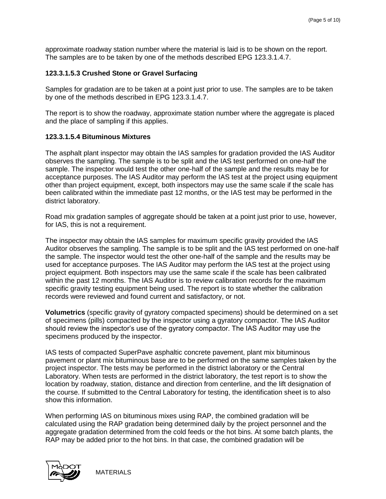approximate roadway station number where the material is laid is to be shown on the report. The samples are to be taken by one of the methods described [EPG 123.3.1.4.7.](http://epg.modot.org/index.php?title=Category:123_Federal-Aid_Highway_Program#123.3.1.4.7_Obtaining_the_Sample)

#### **123.3.1.5.3 Crushed Stone or Gravel Surfacing**

Samples for gradation are to be taken at a point just prior to use. The samples are to be taken by one of the methods described in [EPG 123.3.1.4.7.](http://epg.modot.org/index.php?title=Category:123_Federal-Aid_Highway_Program#123.3.1.4.7_Obtaining_the_Sample)

The report is to show the roadway, approximate station number where the aggregate is placed and the place of sampling if this applies.

#### **123.3.1.5.4 Bituminous Mixtures**

The asphalt plant inspector may obtain the IAS samples for gradation provided the IAS Auditor observes the sampling. The sample is to be split and the IAS test performed on one-half the sample. The inspector would test the other one-half of the sample and the results may be for acceptance purposes. The IAS Auditor may perform the IAS test at the project using equipment other than project equipment, except, both inspectors may use the same scale if the scale has been calibrated within the immediate past 12 months, or the IAS test may be performed in the district laboratory.

Road mix gradation samples of aggregate should be taken at a point just prior to use, however, for IAS, this is not a requirement.

The inspector may obtain the IAS samples for maximum specific gravity provided the IAS Auditor observes the sampling. The sample is to be split and the IAS test performed on one-half the sample. The inspector would test the other one-half of the sample and the results may be used for acceptance purposes. The IAS Auditor may perform the IAS test at the project using project equipment. Both inspectors may use the same scale if the scale has been calibrated within the past 12 months. The IAS Auditor is to review calibration records for the maximum specific gravity testing equipment being used. The report is to state whether the calibration records were reviewed and found current and satisfactory, or not.

**Volumetrics** (specific gravity of gyratory compacted specimens) should be determined on a set of specimens (pills) compacted by the inspector using a gyratory compactor. The IAS Auditor should review the inspector's use of the gyratory compactor. The IAS Auditor may use the specimens produced by the inspector.

IAS tests of compacted SuperPave asphaltic concrete pavement, plant mix bituminous pavement or plant mix bituminous base are to be performed on the same samples taken by the project inspector. The tests may be performed in the district laboratory or the Central Laboratory. When tests are performed in the district laboratory, the test report is to show the location by roadway, station, distance and direction from centerline, and the lift designation of the course. If submitted to the Central Laboratory for testing, the identification sheet is to also show this information.

When performing IAS on bituminous mixes using RAP, the combined gradation will be calculated using the RAP gradation being determined daily by the project personnel and the aggregate gradation determined from the cold feeds or the hot bins. At some batch plants, the RAP may be added prior to the hot bins. In that case, the combined gradation will be

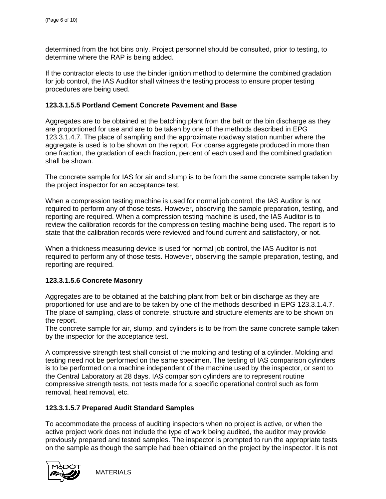determined from the hot bins only. Project personnel should be consulted, prior to testing, to determine where the RAP is being added.

If the contractor elects to use the binder ignition method to determine the combined gradation for job control, the IAS Auditor shall witness the testing process to ensure proper testing procedures are being used.

#### **123.3.1.5.5 Portland Cement Concrete Pavement and Base**

Aggregates are to be obtained at the batching plant from the belt or the bin discharge as they are proportioned for use and are to be taken by one of the methods described in [EPG](http://epg.modot.org/index.php?title=Category:123_Federal-Aid_Highway_Program#123.3.1.4.7_Obtaining_the_Sample)  [123.3.1.4.7.](http://epg.modot.org/index.php?title=Category:123_Federal-Aid_Highway_Program#123.3.1.4.7_Obtaining_the_Sample) The place of sampling and the approximate roadway station number where the aggregate is used is to be shown on the report. For coarse aggregate produced in more than one fraction, the gradation of each fraction, percent of each used and the combined gradation shall be shown.

The concrete sample for IAS for air and slump is to be from the same concrete sample taken by the project inspector for an acceptance test.

When a compression testing machine is used for normal job control, the IAS Auditor is not required to perform any of those tests. However, observing the sample preparation, testing, and reporting are required. When a compression testing machine is used, the IAS Auditor is to review the calibration records for the compression testing machine being used. The report is to state that the calibration records were reviewed and found current and satisfactory, or not.

When a thickness measuring device is used for normal job control, the IAS Auditor is not required to perform any of those tests. However, observing the sample preparation, testing, and reporting are required.

#### **123.3.1.5.6 Concrete Masonry**

Aggregates are to be obtained at the batching plant from belt or bin discharge as they are proportioned for use and are to be taken by one of the methods described in [EPG 123.3.1.4.7.](http://epg.modot.org/index.php?title=Category:123_Federal-Aid_Highway_Program#123.3.1.4.7_Obtaining_the_Sample) The place of sampling, class of concrete, structure and structure elements are to be shown on the report.

The concrete sample for air, slump, and cylinders is to be from the same concrete sample taken by the inspector for the acceptance test.

A compressive strength test shall consist of the molding and testing of a cylinder. Molding and testing need not be performed on the same specimen. The testing of IAS comparison cylinders is to be performed on a machine independent of the machine used by the inspector, or sent to the Central Laboratory at 28 days. IAS comparison cylinders are to represent routine compressive strength tests, not tests made for a specific operational control such as form removal, heat removal, etc.

#### **123.3.1.5.7 Prepared Audit Standard Samples**

To accommodate the process of auditing inspectors when no project is active, or when the active project work does not include the type of work being audited, the auditor may provide previously prepared and tested samples. The inspector is prompted to run the appropriate tests on the sample as though the sample had been obtained on the project by the inspector. It is not

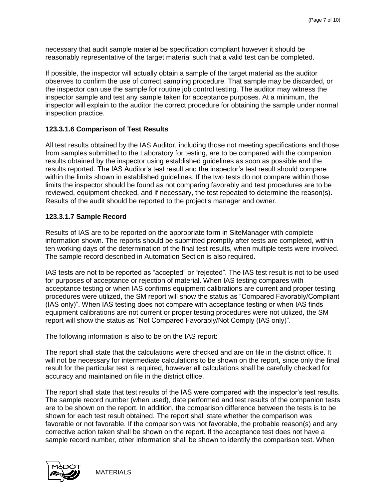necessary that audit sample material be specification compliant however it should be reasonably representative of the target material such that a valid test can be completed.

If possible, the inspector will actually obtain a sample of the target material as the auditor observes to confirm the use of correct sampling procedure. That sample may be discarded, or the inspector can use the sample for routine job control testing. The auditor may witness the inspector sample and test any sample taken for acceptance purposes. At a minimum, the inspector will explain to the auditor the correct procedure for obtaining the sample under normal inspection practice.

#### **123.3.1.6 Comparison of Test Results**

All test results obtained by the IAS Auditor, including those not meeting specifications and those from samples submitted to the Laboratory for testing, are to be compared with the companion results obtained by the inspector using [established guidelines](http://epg.modot.org/index.php?title=Independent_Assurance_Samples_and_Tests) as soon as possible and the results reported. The IAS Auditor's test result and the inspector's test result should compare within the limits shown in [established guidelines.](http://epg.modot.org/index.php?title=Independent_Assurance_Samples_and_Tests) If the two tests do not compare within those limits the inspector should be found as not comparing favorably and test procedures are to be reviewed, equipment checked, and if necessary, the test repeated to determine the reason(s). Results of the audit should be reported to the project's manager and owner.

#### **123.3.1.7 Sample Record**

Results of IAS are to be reported on the appropriate form in SiteManager with complete information shown. The reports should be submitted promptly after tests are completed, within ten working days of the determination of the final test results, when multiple tests were involved. The sample record described in Automation Section is also required.

IAS tests are not to be reported as "accepted" or "rejected". The IAS test result is not to be used for purposes of acceptance or rejection of material. When IAS testing compares with acceptance testing or when IAS confirms equipment calibrations are current and proper testing procedures were utilized, the SM report will show the status as "Compared Favorably/Compliant (IAS only)". When IAS testing does not compare with acceptance testing or when IAS finds equipment calibrations are not current or proper testing procedures were not utilized, the SM report will show the status as "Not Compared Favorably/Not Comply (IAS only)".

The following information is also to be on the IAS report:

The report shall state that the calculations were checked and are on file in the district office. It will not be necessary for intermediate calculations to be shown on the report, since only the final result for the particular test is required, however all calculations shall be carefully checked for accuracy and maintained on file in the district office.

The report shall state that test results of the IAS were compared with the inspector's test results. The sample record number (when used), date performed and test results of the companion tests are to be shown on the report. In addition, the comparison difference between the tests is to be shown for each test result obtained. The report shall state whether the comparison was favorable or not favorable. If the comparison was not favorable, the probable reason(s) and any corrective action taken shall be shown on the report. If the acceptance test does not have a sample record number, other information shall be shown to identify the comparison test. When

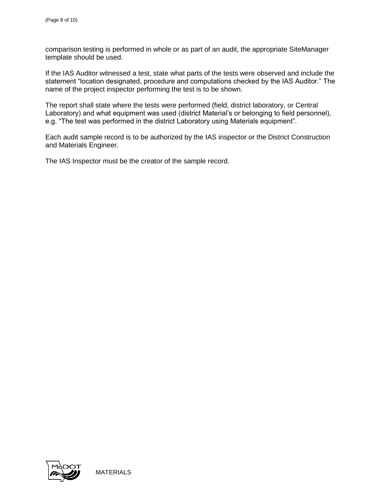comparison testing is performed in whole or as part of an audit, the appropriate SiteManager template should be used.

If the IAS Auditor witnessed a test, state what parts of the tests were observed and include the statement "location designated, procedure and computations checked by the IAS Auditor." The name of the project inspector performing the test is to be shown.

The report shall state where the tests were performed (field, district laboratory, or Central Laboratory) and what equipment was used (district Material's or belonging to field personnel), e.g. "The test was performed in the district Laboratory using Materials equipment".

Each audit sample record is to be authorized by the IAS inspector or the District Construction and Materials Engineer.

The IAS Inspector must be the creator of the sample record.

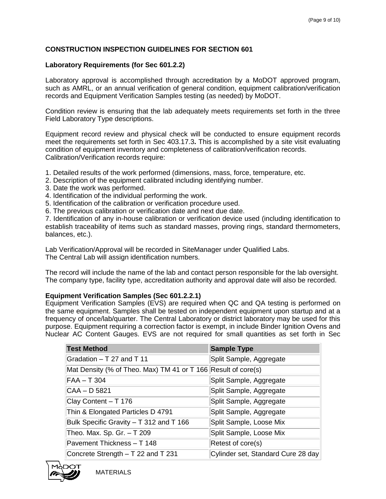#### **CONSTRUCTION INSPECTION GUIDELINES FOR SECTION 601**

#### **Laboratory Requirements (for Sec 601.2.2)**

Laboratory approval is accomplished through accreditation by a MoDOT approved program, such as AMRL, or an annual verification of general condition, equipment calibration/verification records and Equipment Verification Samples testing (as needed) by MoDOT.

Condition review is ensuring that the lab adequately meets requirements set forth in the three Field Laboratory Type descriptions.

Equipment record review and physical check will be conducted to ensure equipment records meet the requirements set forth in [Sec 403.17.3](http://www.modot.state.mo.us/business/standards_and_specs/Sec0403.pdf)**.** This is accomplished by a site visit evaluating condition of equipment inventory and completeness of calibration/verification records. Calibration/Verification records require:

- 1. Detailed results of the work performed (dimensions, mass, force, temperature, etc.
- 2. Description of the equipment calibrated including identifying number.
- 3. Date the work was performed.
- 4. Identification of the individual performing the work.
- 5. Identification of the calibration or verification procedure used.
- 6. The previous calibration or verification date and next due date.

7. Identification of any in-house calibration or verification device used (including identification to establish traceability of items such as standard masses, proving rings, standard thermometers, balances, etc.).

Lab Verification/Approval will be recorded in SiteManager under Qualified Labs. The Central Lab will assign identification numbers.

The record will include the name of the lab and contact person responsible for the lab oversight. The company type, facility type, accreditation authority and approval date will also be recorded.

#### **Equipment Verification Samples (Sec 601.2.2.1)**

Equipment Verification Samples (EVS) are required when QC and QA testing is performed on the same equipment. Samples shall be tested on independent equipment upon startup and at a frequency of once/lab/quarter. The Central Laboratory or district laboratory may be used for this purpose. Equipment requiring a correction factor is exempt, in include Binder Ignition Ovens and Nuclear AC Content Gauges. EVS are not required for small quantities as set forth in [Sec](http://www.modot.state.mo.us/business/standards_and_specs/Sec0403.pdf) 

| <b>Test Method</b>                                            | <b>Sample Type</b>                 |
|---------------------------------------------------------------|------------------------------------|
| Gradation - T 27 and T 11                                     | Split Sample, Aggregate            |
| Mat Density (% of Theo. Max) TM 41 or T 166 Result of core(s) |                                    |
| $FAA - T304$                                                  | Split Sample, Aggregate            |
| CAA - D 5821                                                  | Split Sample, Aggregate            |
| Clay Content - T 176                                          | Split Sample, Aggregate            |
| Thin & Elongated Particles D 4791                             | Split Sample, Aggregate            |
| Bulk Specific Gravity - T 312 and T 166                       | Split Sample, Loose Mix            |
| Theo. Max. Sp. Gr. - T 209                                    | Split Sample, Loose Mix            |
| Pavement Thickness - T 148                                    | Retest of core(s)                  |
| Concrete Strength - T 22 and T 231                            | Cylinder set, Standard Cure 28 day |

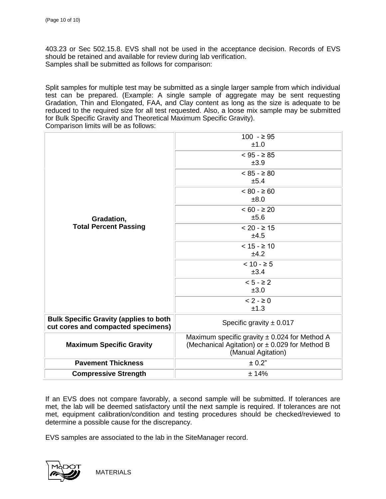[403.23](http://www.modot.state.mo.us/business/standards_and_specs/Sec0403.pdf) or [Sec 502.15.8.](http://www.modot.state.mo.us/business/standards_and_specs/Sec0502.pdf) EVS shall not be used in the acceptance decision. Records of EVS should be retained and available for review during lab verification. Samples shall be submitted as follows for comparison:

Split samples for multiple test may be submitted as a single larger sample from which individual test can be prepared. (Example: A single sample of aggregate may be sent requesting Gradation, Thin and Elongated, FAA, and Clay content as long as the size is adequate to be reduced to the required size for all test requested. Also, a loose mix sample may be submitted for Bulk Specific Gravity and Theoretical Maximum Specific Gravity). Comparison limits will be as follows:

|                                                                                     | $100 - 295$<br>±1.0                                                                                                       |
|-------------------------------------------------------------------------------------|---------------------------------------------------------------------------------------------------------------------------|
|                                                                                     | $< 95 - \ge 85$<br>±3.9                                                                                                   |
|                                                                                     | $< 85 - \ge 80$<br>±5.4                                                                                                   |
|                                                                                     | $< 80 - $60$<br>±8.0                                                                                                      |
| Gradation,                                                                          | $< 60 - \ge 20$<br>±5.6                                                                                                   |
| <b>Total Percent Passing</b>                                                        | $< 20 - \ge 15$<br>±4.5                                                                                                   |
|                                                                                     | $< 15 - \ge 10$<br>±4.2                                                                                                   |
|                                                                                     | $< 10 - 55$<br>±3.4                                                                                                       |
|                                                                                     | $< 5 - \ge 2$<br>±3.0                                                                                                     |
|                                                                                     | $< 2 - \ge 0$<br>±1.3                                                                                                     |
| <b>Bulk Specific Gravity (applies to both</b><br>cut cores and compacted specimens) | Specific gravity $\pm$ 0.017                                                                                              |
| <b>Maximum Specific Gravity</b>                                                     | Maximum specific gravity $\pm$ 0.024 for Method A<br>(Mechanical Agitation) or ± 0.029 for Method B<br>(Manual Agitation) |
| <b>Pavement Thickness</b>                                                           | ± 0.2"                                                                                                                    |
| <b>Compressive Strength</b>                                                         | ±14%                                                                                                                      |

If an EVS does not compare favorably, a second sample will be submitted. If tolerances are met, the lab will be deemed satisfactory until the next sample is required. If tolerances are not met, equipment calibration/condition and testing procedures should be checked/reviewed to determine a possible cause for the discrepancy.

EVS samples are associated to the lab in the SiteManager record.

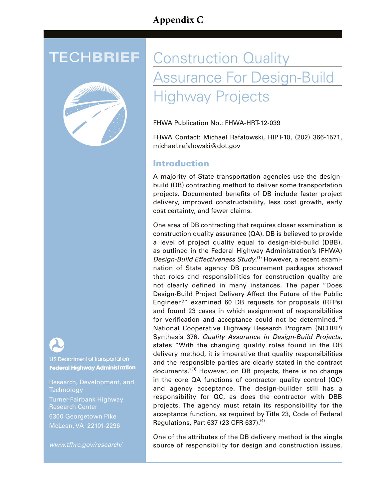## **Appendix C**



U.S. Department of Transportation **Federal Highway Administration** 

Research, Development, and **Technology** Turner-Fairbank Highway Research Center 6300 Georgetown Pike McLean, VA 22101-2296

*www.tfhrc.gov/research/*

# **TECHBRIEF** Construction Quality ssurance For Design-Build ighway Projects

FHWA Publication No.: FHWA-HRT-12-039

FHWA Contact: Michael Rafalowski, HIPT-10, (202) 366-1571, michael.rafalowski@dot.gov

## Introduction

A majority of State transportation agencies use the designbuild (DB) contracting method to deliver some transportation projects. Documented benefits of DB include faster project delivery, improved constructability, less cost growth, early cost certainty, and fewer claims.

One area of DB contracting that requires closer examination is construction quality assurance (QA). DB is believed to provide a level of project quality equal to design-bid-build (DBB), as outlined in the Federal Highway Administration's (FHWA) *Design-Build Effectiveness Study*. (1) However, a recent examination of State agency DB procurement packages showed that roles and responsibilities for construction quality are not clearly defined in many instances. The paper "Does Design-Build Project Delivery Affect the Future of the Public Engineer?" examined 60 DB requests for proposals (RFPs) and found 23 cases in which assignment of responsibilities for verification and acceptance could not be determined.<sup>(2)</sup> National Cooperative Highway Research Program (NCHRP) Synthesis 376, *Quality Assurance in Design-Build Projects*, states "With the changing quality roles found in the DB delivery method, it is imperative that quality responsibilities and the responsible parties are clearly stated in the contract documents."<sup>(3)</sup> However, on DB projects, there is no change in the core QA functions of contractor quality control (QC) and agency acceptance. The design-builder still has a responsibility for QC, as does the contractor with DBB projects. The agency must retain its responsibility for the acceptance function, as required by Title 23, Code of Federal Regulations, Part 637 (23 CFR 637). $(4)$ 

One of the attributes of the DB delivery method is the single source of responsibility for design and construction issues.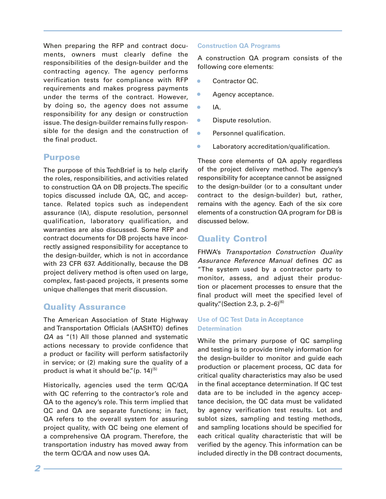When preparing the RFP and contract documents, owners must clearly define the responsibilities of the design-builder and the contracting agency. The agency performs verification tests for compliance with RFP requirements and makes progress payments under the terms of the contract. However, by doing so, the agency does not assume responsibility for any design or construction issue. The design-builder remains fully responsible for the design and the construction of the final product.

## Purpose

The purpose of this TechBrief is to help clarify the roles, responsibilities, and activities related to construction QA on DB projects. The specific topics discussed include QA, QC, and acceptance. Related topics such as independent assurance (IA), dispute resolution, personnel qualification, laboratory qualification, and warranties are also discussed. Some RFP and contract documents for DB projects have incorrectly assigned responsibility for acceptance to the design-builder, which is not in accordance with 23 CFR 637. Additionally, because the DB project delivery method is often used on large, complex, fast-paced projects, it presents some unique challenges that merit discussion.

## Quality Assurance

The American Association of State Highway and Transportation Officials (AASHTO) defines *QA* as "(1) All those planned and systematic actions necessary to provide confidence that a product or facility will perform satisfactorily in service; or (2) making sure the quality of a product is what it should be." $(p. 14)^{(5)}$ 

Historically, agencies used the term QC/QA with QC referring to the contractor's role and QA to the agency's role. This term implied that QC and QA are separate functions; in fact, QA refers to the overall system for assuring project quality, with QC being one element of a comprehensive QA program. Therefore, the transportation industry has moved away from the term QC/QA and now uses QA.

#### **Construction QA Programs**

A construction QA program consists of the following core elements:

- Contractor QC.
- Agency acceptance.
- $\bullet$  IA.
- **•** Dispute resolution.
- **•** Personnel qualification.
- Laboratory accreditation/qualification.

These core elements of QA apply regardless of the project delivery method. The agency's responsibility for acceptance cannot be assigned to the design-builder (or to a consultant under contract to the design-builder) but, rather, remains with the agency. Each of the six core elements of a construction QA program for DB is discussed below.

## Quality Control

FHWA's *Transportation Construction Quality Assurance Reference Manual* defines *QC* as "The system used by a contractor party to monitor, assess, and adjust their production or placement processes to ensure that the final product will meet the specified level of quality." (Section 2.3, p. 2-6) $(6)$ 

#### **Use of QC Test Data in Acceptance Determination**

While the primary purpose of QC sampling and testing is to provide timely information for the design-builder to monitor and guide each production or placement process, QC data for critical quality characteristics may also be used in the final acceptance determination. If QC test data are to be included in the agency acceptance decision, the QC data must be validated by agency verification test results. Lot and sublot sizes, sampling and testing methods, and sampling locations should be specified for each critical quality characteristic that will be verified by the agency. This information can be included directly in the DB contract documents,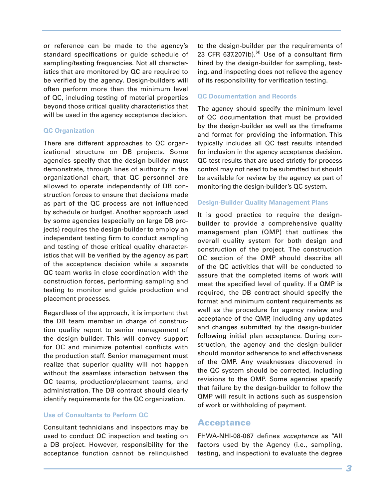or reference can be made to the agency's standard specifications or guide schedule of sampling/testing frequencies. Not all characteristics that are monitored by QC are required to be verified by the agency. Design-builders will often perform more than the minimum level of QC, including testing of material properties beyond those critical quality characteristics that will be used in the agency acceptance decision.

#### **QC Organization**

There are different approaches to QC organizational structure on DB projects. Some agencies specify that the design-builder must demonstrate, through lines of authority in the organizational chart, that QC personnel are allowed to operate independently of DB construction forces to ensure that decisions made as part of the QC process are not influenced by schedule or budget. Another approach used by some agencies (especially on large DB projects) requires the design-builder to employ an independent testing firm to conduct sampling and testing of those critical quality characteristics that will be verified by the agency as part of the acceptance decision while a separate QC team works in close coordination with the construction forces, performing sampling and testing to monitor and guide production and placement processes.

Regardless of the approach, it is important that the DB team member in charge of construction quality report to senior management of the design-builder. This will convey support for QC and minimize potential conflicts with the production staff. Senior management must realize that superior quality will not happen without the seamless interaction between the QC teams, production/placement teams, and administration. The DB contract should clearly identify requirements for the QC organization.

#### **Use of Consultants to Perform QC**

Consultant technicians and inspectors may be used to conduct QC inspection and testing on a DB project. However, responsibility for the acceptance function cannot be relinquished

to the design-builder per the requirements of 23 CFR 637.207(b). $(4)$  Use of a consultant firm hired by the design-builder for sampling, testing, and inspecting does not relieve the agency of its responsibility for verification testing.

#### **QC Documentation and Records**

The agency should specify the minimum level of QC documentation that must be provided by the design-builder as well as the timeframe and format for providing the information. This typically includes all QC test results intended for inclusion in the agency acceptance decision. QC test results that are used strictly for process control may not need to be submitted but should be available for review by the agency as part of monitoring the design-builder's QC system.

#### **Design-Builder Quality Management Plans**

It is good practice to require the designbuilder to provide a comprehensive quality management plan (QMP) that outlines the overall quality system for both design and construction of the project. The construction QC section of the QMP should describe all of the QC activities that will be conducted to assure that the completed items of work will meet the specified level of quality. If a QMP is required, the DB contract should specify the format and minimum content requirements as well as the procedure for agency review and acceptance of the QMP, including any updates and changes submitted by the design-builder following initial plan acceptance. During construction, the agency and the design-builder should monitor adherence to and effectiveness of the QMP. Any weaknesses discovered in the QC system should be corrected, including revisions to the QMP. Some agencies specify that failure by the design-builder to follow the QMP will result in actions such as suspension of work or withholding of payment.

#### Acceptance

FHWA-NHI-08-067 defines *acceptance* as "All factors used by the Agency (i.e., sampling, testing, and inspection) to evaluate the degree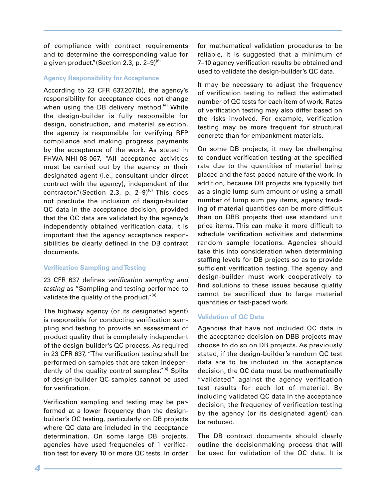of compliance with contract requirements and to determine the corresponding value for a given product." (Section 2.3, p. 2-9)<sup>(6)</sup>

#### **Agency Responsibility for Acceptance**

According to 23 CFR 637.207(b), the agency's responsibility for acceptance does not change when using the DB delivery method.<sup>(4)</sup> While the design-builder is fully responsible for design, construction, and material selection, the agency is responsible for verifying RFP compliance and making progress payments by the acceptance of the work. As stated in FHWA-NHI-08-067, "All acceptance activities must be carried out by the agency or their designated agent (i.e., consultant under direct contract with the agency), independent of the contractor."(Section 2.3, p.  $2-9$ )<sup>(6)</sup> This does not preclude the inclusion of design-builder QC data in the acceptance decision, provided that the QC data are validated by the agency's independently obtained verification data. It is important that the agency acceptance responsibilities be clearly defined in the DB contract documents.

#### **Verification Sampling and Testing**

23 CFR 637 defines *verification sampling and testing* as "Sampling and testing performed to validate the quality of the product." $(4)$ 

The highway agency (or its designated agent) is responsible for conducting verification sampling and testing to provide an assessment of product quality that is completely independent of the design-builder's QC process. As required in 23 CFR 637, "The verification testing shall be performed on samples that are taken independently of the quality control samples."<sup>(4)</sup> Splits of design-builder QC samples cannot be used for verification.

Verification sampling and testing may be performed at a lower frequency than the designbuilder's QC testing, particularly on DB projects where QC data are included in the acceptance determination. On some large DB projects, agencies have used frequencies of 1 verification test for every 10 or more QC tests. In order

for mathematical validation procedures to be reliable, it is suggested that a minimum of 7–10 agency verification results be obtained and used to validate the design-builder's QC data.

It may be necessary to adjust the frequency of verification testing to reflect the estimated number of QC tests for each item of work. Rates of verification testing may also differ based on the risks involved. For example, verification testing may be more frequent for structural concrete than for embankment materials.

On some DB projects, it may be challenging to conduct verification testing at the specified rate due to the quantities of material being placed and the fast-paced nature of the work. In addition, because DB projects are typically bid as a single lump sum amount or using a small number of lump sum pay items, agency tracking of material quantities can be more difficult than on DBB projects that use standard unit price items. This can make it more difficult to schedule verification activities and determine random sample locations. Agencies should take this into consideration when determining staffing levels for DB projects so as to provide sufficient verification testing. The agency and design-builder must work cooperatively to find solutions to these issues because quality cannot be sacrificed due to large material quantities or fast-paced work.

#### **Validation of QC Data**

Agencies that have not included QC data in the acceptance decision on DBB projects may choose to do so on DB projects. As previously stated, if the design-builder's random QC test data are to be included in the acceptance decision, the QC data must be mathematically "validated" against the agency verification test results for each lot of material. By including validated QC data in the acceptance decision, the frequency of verification testing by the agency (or its designated agent) can be reduced.

The DB contract documents should clearly outline the decisionmaking process that will be used for validation of the QC data. It is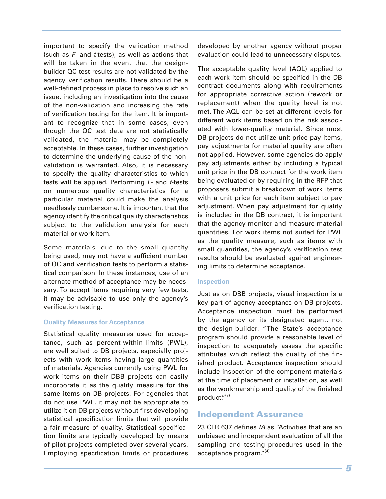important to specify the validation method (such as *F*- and *t*-tests), as well as actions that will be taken in the event that the designbuilder QC test results are not validated by the agency verification results. There should be a well-defined process in place to resolve such an issue, including an investigation into the cause of the non-validation and increasing the rate of verification testing for the item. It is important to recognize that in some cases, even though the QC test data are not statistically validated, the material may be completely acceptable. In these cases, further investigation to determine the underlying cause of the nonvalidation is warranted. Also, it is necessary to specify the quality characteristics to which tests will be applied. Performing *F*- and *t*-tests on numerous quality characteristics for a particular material could make the analysis needlessly cumbersome. It is important that the agency identify the critical quality characteristics subject to the validation analysis for each material or work item.

Some materials, due to the small quantity being used, may not have a sufficient number of QC and verification tests to perform a statistical comparison. In these instances, use of an alternate method of acceptance may be necessary. To accept items requiring very few tests, it may be advisable to use only the agency's verification testing.

#### **Quality Measures for Acceptance**

Statistical quality measures used for acceptance, such as percent-within-limits (PWL), are well suited to DB projects, especially projects with work items having large quantities of materials. Agencies currently using PWL for work items on their DBB projects can easily incorporate it as the quality measure for the same items on DB projects. For agencies that do not use PWL, it may not be appropriate to utilize it on DB projects without first developing statistical specification limits that will provide a fair measure of quality. Statistical specification limits are typically developed by means of pilot projects completed over several years. Employing specification limits or procedures

developed by another agency without proper evaluation could lead to unnecessary disputes.

The acceptable quality level (AQL) applied to each work item should be specified in the DB contract documents along with requirements for appropriate corrective action (rework or replacement) when the quality level is not met. The AQL can be set at different levels for different work items based on the risk associated with lower-quality material. Since most DB projects do not utilize unit price pay items, pay adjustments for material quality are often not applied. However, some agencies do apply pay adjustments either by including a typical unit price in the DB contract for the work item being evaluated or by requiring in the RFP that proposers submit a breakdown of work items with a unit price for each item subject to pay adjustment. When pay adjustment for quality is included in the DB contract, it is important that the agency monitor and measure material quantities. For work items not suited for PWL as the quality measure, such as items with small quantities, the agency's verification test results should be evaluated against engineering limits to determine acceptance.

#### **Inspection**

Just as on DBB projects, visual inspection is a key part of agency acceptance on DB projects. Acceptance inspection must be performed by the agency or its designated agent, not the design-builder. "The State's acceptance program should provide a reasonable level of inspection to adequately assess the specific attributes which reflect the quality of the finished product. Acceptance inspection should include inspection of the component materials at the time of placement or installation, as well as the workmanship and quality of the finished product."(7)

#### Independent Assurance

23 CFR 637 defines *IA* as "Activities that are an unbiased and independent evaluation of all the sampling and testing procedures used in the acceptance program." $(4)$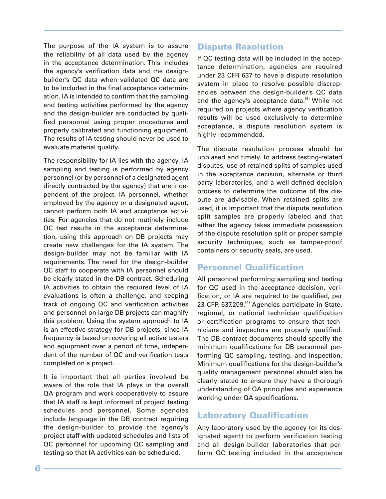The purpose of the IA system is to assure the reliability of all data used by the agency in the acceptance determination. This includes the agency's verification data and the designbuilder's QC data when validated QC data are to be included in the final acceptance determination. IA is intended to confirm that the sampling and testing activities performed by the agency and the design-builder are conducted by qualified personnel using proper procedures and properly calibrated and functioning equipment. The results of IA testing should never be used to evaluate material quality.

The responsibility for IA lies with the agency. IA sampling and testing is performed by agency personnel (or by personnel of a designated agent directly contracted by the agency) that are independent of the project. IA personnel, whether employed by the agency or a designated agent, cannot perform both IA and acceptance activities. For agencies that do not routinely include QC test results in the acceptance determination, using this approach on DB projects may create new challenges for the IA system. The design-builder may not be familiar with IA requirements. The need for the design-builder QC staff to cooperate with IA personnel should be clearly stated in the DB contract. Scheduling IA activities to obtain the required level of IA evaluations is often a challenge, and keeping track of ongoing QC and verification activities and personnel on large DB projects can magnify this problem. Using the system approach to IA is an effective strategy for DB projects, since IA frequency is based on covering all active testers and equipment over a period of time, independent of the number of QC and verification tests completed on a project.

It is important that all parties involved be aware of the role that IA plays in the overall QA program and work cooperatively to assure that IA staff is kept informed of project testing schedules and personnel. Some agencies include language in the DB contract requiring the design-builder to provide the agency's project staff with updated schedules and lists of QC personnel for upcoming QC sampling and testing so that IA activities can be scheduled.

## Dispute Resolution

If QC testing data will be included in the acceptance determination, agencies are required under 23 CFR 637 to have a dispute resolution system in place to resolve possible discrepancies between the design-builder's QC data and the agency's acceptance data.<sup>(4)</sup> While not required on projects where agency verification results will be used exclusively to determine acceptance, a dispute resolution system is highly recommended.

The dispute resolution process should be unbiased and timely. To address testing-related disputes, use of retained splits of samples used in the acceptance decision, alternate or third party laboratories, and a well-defined decision process to determine the outcome of the dispute are advisable. When retained splits are used, it is important that the dispute resolution split samples are properly labeled and that either the agency takes immediate possession of the dispute resolution split or proper sample security techniques, such as tamper-proof containers or security seals, are used.

## Personnel Qualification

All personnel performing sampling and testing for QC used in the acceptance decision, verification, or IA are required to be qualified, per 23 CFR 637.209.<sup>(4)</sup> Agencies participate in State, regional, or national technician qualification or certification programs to ensure that technicians and inspectors are properly qualified. The DB contract documents should specify the minimum qualifications for DB personnel performing QC sampling, testing, and inspection. Minimum qualifications for the design-builder's quality management personnel should also be clearly stated to ensure they have a thorough understanding of QA principles and experience working under QA specifications.

## Laboratory Qualification

Any laboratory used by the agency (or its designated agent) to perform verification testing and all design-builder laboratories that perform QC testing included in the acceptance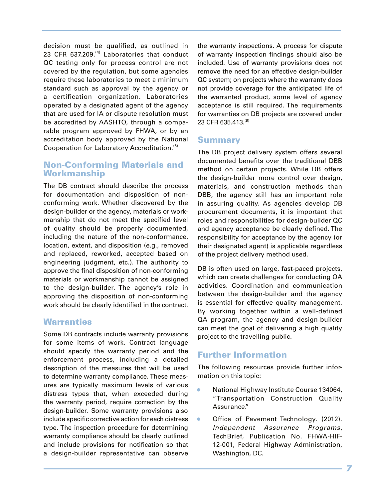decision must be qualified, as outlined in 23 CFR  $637.209$ .<sup>(4)</sup> Laboratories that conduct QC testing only for process control are not covered by the regulation, but some agencies require these laboratories to meet a minimum standard such as approval by the agency or a certification organization. Laboratories operated by a designated agent of the agency that are used for IA or dispute resolution must be accredited by AASHTO, through a comparable program approved by FHWA, or by an accreditation body approved by the National Cooperation for Laboratory Accreditation.<sup>(8)</sup>

## Non-Conforming Materials and Workmanship

The DB contract should describe the process for documentation and disposition of nonconforming work. Whether discovered by the design-builder or the agency, materials or workmanship that do not meet the specified level of quality should be properly documented, including the nature of the non-conformance, location, extent, and disposition (e.g., removed and replaced, reworked, accepted based on engineering judgment, etc.). The authority to approve the final disposition of non-conforming materials or workmanship cannot be assigned to the design-builder. The agency's role in approving the disposition of non-conforming work should be clearly identified in the contract.

## **Warranties**

Some DB contracts include warranty provisions for some items of work. Contract language should specify the warranty period and the enforcement process, including a detailed description of the measures that will be used to determine warranty compliance. These measures are typically maximum levels of various distress types that, when exceeded during the warranty period, require correction by the design-builder. Some warranty provisions also include specific corrective action for each distress type. The inspection procedure for determining warranty compliance should be clearly outlined and include provisions for notification so that a design-builder representative can observe the warranty inspections. A process for dispute of warranty inspection findings should also be included. Use of warranty provisions does not remove the need for an effective design-builder QC system; on projects where the warranty does not provide coverage for the anticipated life of the warranted product, some level of agency acceptance is still required. The requirements for warranties on DB projects are covered under 23 CFR 635.413.<sup>(9)</sup>

#### Summary

The DB project delivery system offers several documented benefits over the traditional DBB method on certain projects. While DB offers the design-builder more control over design, materials, and construction methods than DBB, the agency still has an important role in assuring quality. As agencies develop DB procurement documents, it is important that roles and responsibilities for design-builder QC and agency acceptance be clearly defined. The responsibility for acceptance by the agency (or their designated agent) is applicable regardless of the project delivery method used.

DB is often used on large, fast-paced projects, which can create challenges for conducting QA activities. Coordination and communication between the design-builder and the agency is essential for effective quality management. By working together within a well-defined QA program, the agency and design-builder can meet the goal of delivering a high quality project to the travelling public.

## Further Information

The following resources provide further information on this topic:

- National Highway Institute Course 134064, "Transportation Construction Quality Assurance."
- **Office of Pavement Technology. (2012).** *Independent Assurance Programs*, TechBrief, Publication No. FHWA-HIF-12-001, Federal Highway Administration, Washington, DC.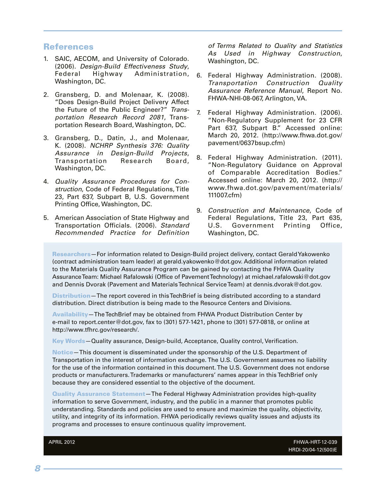#### References

- 1. SAIC, AECOM, and University of Colorado. (2006). *Design-Build Effectiveness Study*, Federal Highway Administration, Washington, DC.
- 2. Gransberg, D. and Molenaar, K. (2008). "Does Design-Build Project Delivery Affect the Future of the Public Engineer?" *Transportation Research Record 2081*, Transportation Research Board, Washington, DC.
- 3. Gransberg, D., Datin, J., and Molenaar, K. (2008). *NCHRP Synthesis 376: Quality Assurance in Design-Build Projects*, Transportation Research Board, Washington, DC.
- 4. *Quality Assurance Procedures for Construction*, Code of Federal Regulations, Title 23, Part 637, Subpart B, U.S. Government Printing Office, Washington, DC.
- 5. American Association of State Highway and Transportation Officials. (2006). *Standard Recommended Practice for Definition*

*of Terms Related to Quality and Statistics As Used in Highway Construction*, Washington, DC.

- 6. Federal Highway Administration. (2008). *Transportation Construction Quality Assurance Reference Manual*, Report No. FHWA-NHI-08-067, Arlington, VA.
- 7. Federal Highway Administration. (2006). "Non-Regulatory Supplement for 23 CFR Part 637, Subpart B." Accessed online: March 20, 2012. (http://www.fhwa.dot.gov/ pavement/0637bsup.cfm)
- 8. Federal Highway Administration. (2011). "Non-Regulatory Guidance on Approval of Comparable Accreditation Bodies." Accessed online: March 20, 2012. (http:// www.fhwa.dot.gov/pavement/materials/ 111007.cfm)
- 9. *Construction and Maintenance*, Code of Federal Regulations, Title 23, Part 635, U.S. Government Printing Office, Washington, DC.

Researchers—For information related to Design-Build project delivery, contact Gerald Yakowenko (contract administration team leader) at gerald.yakowenko@dot.gov. Additional information related to the Materials Quality Assurance Program can be gained by contacting the FHWA Quality Assurance Team: Michael Rafalowski (Office of Pavement Technology) at michael.rafalowski@dot.gov and Dennis Dvorak (Pavement and Materials Technical Service Team) at dennis.dvorak@dot.gov.

Distribution—The report covered in this TechBrief is being distributed according to a standard distribution. Direct distribution is being made to the Resource Centers and Divisions.

Availability—The TechBrief may be obtained from FHWA Product Distribution Center by e-mail to report.center@dot.gov, fax to (301) 577-1421, phone to (301) 577-0818, or online at http://www.tfhrc.gov/research/.

Key Words—Quality assurance, Design-build, Acceptance, Quality control, Verification.

Notice—This document is disseminated under the sponsorship of the U.S. Department of Transportation in the interest of information exchange. The U.S. Government assumes no liability for the use of the information contained in this document. The U.S. Government does not endorse products or manufacturers. Trademarks or manufacturers' names appear in this TechBrief only because they are considered essential to the objective of the document.

Quality Assurance Statement—The Federal Highway Administration provides high-quality information to serve Government, industry, and the public in a manner that promotes public understanding. Standards and policies are used to ensure and maximize the quality, objectivity, utility, and integrity of its information. FHWA periodically reviews quality issues and adjusts its programs and processes to ensure continuous quality improvement.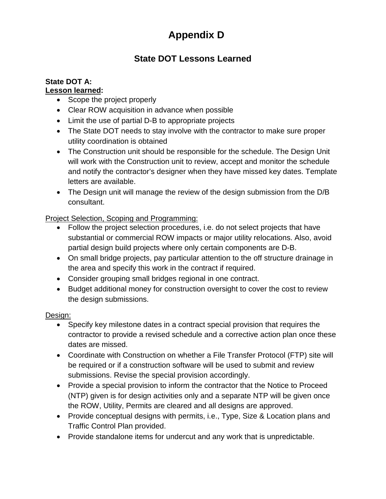## **Appendix D**

## **State DOT Lessons Learned**

## **State DOT A:**

## **Lesson learned:**

- Scope the project properly
- Clear ROW acquisition in advance when possible
- Limit the use of partial D-B to appropriate projects
- The State DOT needs to stay involve with the contractor to make sure proper utility coordination is obtained
- The Construction unit should be responsible for the schedule. The Design Unit will work with the Construction unit to review, accept and monitor the schedule and notify the contractor's designer when they have missed key dates. Template letters are available.
- The Design unit will manage the review of the design submission from the D/B consultant.

## Project Selection, Scoping and Programming:

- Follow the project selection procedures, i.e. do not select projects that have substantial or commercial ROW impacts or major utility relocations. Also, avoid partial design build projects where only certain components are D-B.
- On small bridge projects, pay particular attention to the off structure drainage in the area and specify this work in the contract if required.
- Consider grouping small bridges regional in one contract.
- Budget additional money for construction oversight to cover the cost to review the design submissions.

## Design:

- Specify key milestone dates in a contract special provision that requires the contractor to provide a revised schedule and a corrective action plan once these dates are missed.
- Coordinate with Construction on whether a File Transfer Protocol (FTP) site will be required or if a construction software will be used to submit and review submissions. Revise the special provision accordingly.
- Provide a special provision to inform the contractor that the Notice to Proceed (NTP) given is for design activities only and a separate NTP will be given once the ROW, Utility, Permits are cleared and all designs are approved.
- Provide conceptual designs with permits, i.e., Type, Size & Location plans and Traffic Control Plan provided.
- Provide standalone items for undercut and any work that is unpredictable.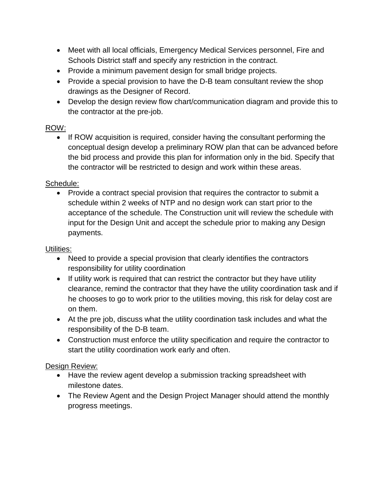- Meet with all local officials, Emergency Medical Services personnel, Fire and Schools District staff and specify any restriction in the contract.
- Provide a minimum pavement design for small bridge projects.
- Provide a special provision to have the D-B team consultant review the shop drawings as the Designer of Record.
- Develop the design review flow chart/communication diagram and provide this to the contractor at the pre-job.

## ROW:

• If ROW acquisition is required, consider having the consultant performing the conceptual design develop a preliminary ROW plan that can be advanced before the bid process and provide this plan for information only in the bid. Specify that the contractor will be restricted to design and work within these areas.

## Schedule:

• Provide a contract special provision that requires the contractor to submit a schedule within 2 weeks of NTP and no design work can start prior to the acceptance of the schedule. The Construction unit will review the schedule with input for the Design Unit and accept the schedule prior to making any Design payments.

## Utilities:

- Need to provide a special provision that clearly identifies the contractors responsibility for utility coordination
- If utility work is required that can restrict the contractor but they have utility clearance, remind the contractor that they have the utility coordination task and if he chooses to go to work prior to the utilities moving, this risk for delay cost are on them.
- At the pre job, discuss what the utility coordination task includes and what the responsibility of the D-B team.
- Construction must enforce the utility specification and require the contractor to start the utility coordination work early and often.

## Design Review:

- Have the review agent develop a submission tracking spreadsheet with milestone dates.
- The Review Agent and the Design Project Manager should attend the monthly progress meetings.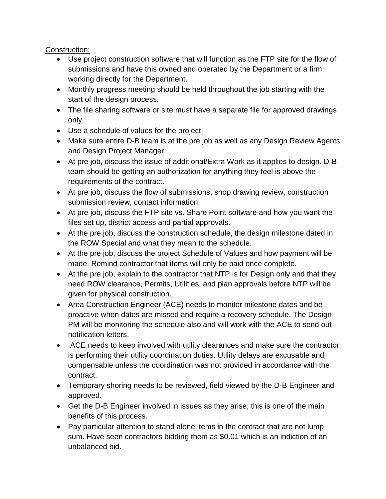## Construction:

- Use project construction software that will function as the FTP site for the flow of submissions and have this owned and operated by the Department or a firm working directly for the Department.
- Monthly progress meeting should be held throughout the job starting with the start of the design process.
- The file sharing software or site must have a separate file for approved drawings only.
- Use a schedule of values for the project.
- Make sure entire D-B team is at the pre job as well as any Design Review Agents and Design Project Manager.
- At pre job, discuss the issue of additional/Extra Work as it applies to design. D-B team should be getting an authorization for anything they feel is above the requirements of the contract.
- At pre job, discuss the flow of submissions, shop drawing review, construction submission review, contact information.
- At pre job, discuss the FTP site vs. Share Point software and how you want the files set up, district access and partial approvals.
- At the pre job, discuss the construction schedule, the design milestone dated in the ROW Special and what they mean to the schedule.
- At the pre job, discuss the project Schedule of Values and how payment will be made. Remind contractor that items will only be paid once complete.
- At the pre job, explain to the contractor that NTP is for Design only and that they need ROW clearance, Permits, Utilities, and plan approvals before NTP will be given for physical construction.
- Area Construction Engineer (ACE) needs to monitor milestone dates and be proactive when dates are missed and require a recovery schedule. The Design PM will be monitoring the schedule also and will work with the ACE to send out notification letters.
- ACE needs to keep involved with utility clearances and make sure the contractor is performing their utility coordination duties. Utility delays are excusable and compensable unless the coordination was not provided in accordance with the contract.
- Temporary shoring needs to be reviewed, field viewed by the D-B Engineer and approved.
- Get the D-B Engineer involved in issues as they arise, this is one of the main benefits of this process.
- Pay particular attention to stand alone items in the contract that are not lump sum. Have seen contractors bidding them as \$0.01 which is an indiction of an unbalanced bid.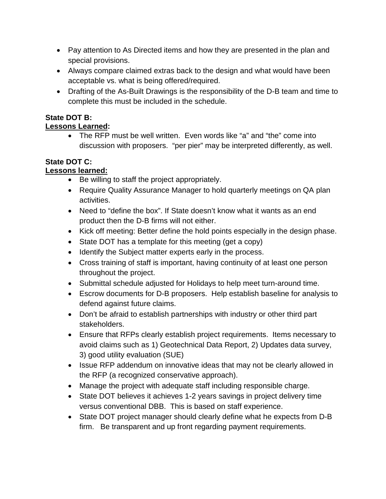- Pay attention to As Directed items and how they are presented in the plan and special provisions.
- Always compare claimed extras back to the design and what would have been acceptable vs. what is being offered/required.
- Drafting of the As-Built Drawings is the responsibility of the D-B team and time to complete this must be included in the schedule.

## **State DOT B:**

## **Lessons Learned:**

• The RFP must be well written. Even words like "a" and "the" come into discussion with proposers. "per pier" may be interpreted differently, as well.

## **State DOT C:**

## **Lessons learned:**

- Be willing to staff the project appropriately.
- Require Quality Assurance Manager to hold quarterly meetings on QA plan activities.
- Need to "define the box". If State doesn't know what it wants as an end product then the D-B firms will not either.
- Kick off meeting: Better define the hold points especially in the design phase.
- State DOT has a template for this meeting (get a copy)
- Identify the Subject matter experts early in the process.
- Cross training of staff is important, having continuity of at least one person throughout the project.
- Submittal schedule adjusted for Holidays to help meet turn-around time.
- Escrow documents for D-B proposers. Help establish baseline for analysis to defend against future claims.
- Don't be afraid to establish partnerships with industry or other third part stakeholders.
- Ensure that RFPs clearly establish project requirements. Items necessary to avoid claims such as 1) Geotechnical Data Report, 2) Updates data survey, 3) good utility evaluation (SUE)
- Issue RFP addendum on innovative ideas that may not be clearly allowed in the RFP (a recognized conservative approach).
- Manage the project with adequate staff including responsible charge.
- State DOT believes it achieves 1-2 years savings in project delivery time versus conventional DBB. This is based on staff experience.
- State DOT project manager should clearly define what he expects from D-B firm. Be transparent and up front regarding payment requirements.